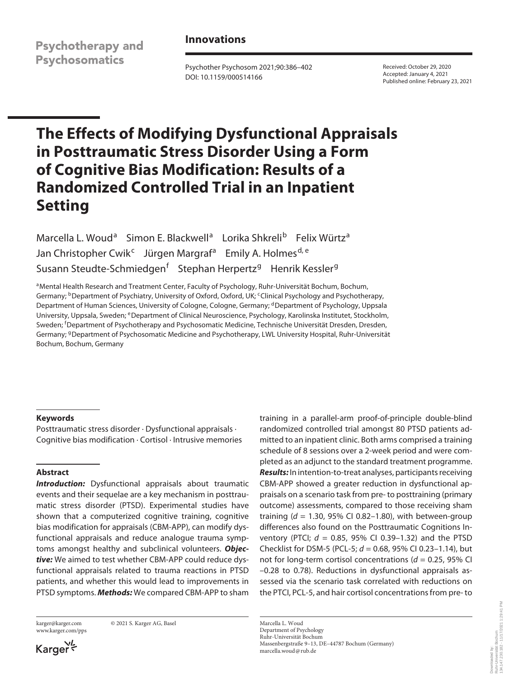**Psychotherapy and Psychosomatics** 

# **Innovations**

Psychother Psychosom 2021;90:386–402 DOI: 10.1159/000514166

Received: October 29, 2020 Accepted: January 4, 2021 Published online: February 23, 2021

# **The Effects of Modifying Dysfunctional Appraisals in Posttraumatic Stress Disorder Using a Form of Cognitive Bias Modification: Results of a Randomized Controlled Trial in an Inpatient Setting**

Marcella L. Woud<sup>a</sup> Simon E. Blackwell<sup>a</sup> Lorika Shkreli<sup>b</sup> Felix Würtz<sup>a</sup> Jan Christopher Cwik<sup>c</sup> Jürgen Margraf<sup>a</sup> Emily A. Holmes<sup>d, e</sup> Susann Steudte-Schmiedgen<sup>f</sup> Stephan Herpertz<sup>g</sup> Henrik Kessler<sup>g</sup>

aMental Health Research and Treatment Center, Faculty of Psychology, Ruhr-Universität Bochum, Bochum, Germany; <sup>b</sup>Department of Psychiatry, University of Oxford, Oxford, UK; <sup>c</sup>Clinical Psychology and Psychotherapy, Department of Human Sciences, University of Cologne, Cologne, Germany; <sup>d</sup>Department of Psychology, Uppsala University, Uppsala, Sweden; eDepartment of Clinical Neuroscience, Psychology, Karolinska Institutet, Stockholm, Sweden; <sup>f</sup> Department of Psychotherapy and Psychosomatic Medicine, Technische Universität Dresden, Dresden, Germany; <sup>g</sup>Department of Psychosomatic Medicine and Psychotherapy, LWL University Hospital, Ruhr-Universität Bochum, Bochum, Germany

## **Keywords**

Posttraumatic stress disorder · Dysfunctional appraisals · Cognitive bias modification · Cortisol · Intrusive memories

#### **Abstract**

**Introduction:** Dysfunctional appraisals about traumatic events and their sequelae are a key mechanism in posttraumatic stress disorder (PTSD). Experimental studies have shown that a computerized cognitive training, cognitive bias modification for appraisals (CBM-APP), can modify dysfunctional appraisals and reduce analogue trauma symptoms amongst healthy and subclinical volunteers. *Objective:* We aimed to test whether CBM-APP could reduce dysfunctional appraisals related to trauma reactions in PTSD patients, and whether this would lead to improvements in PTSD symptoms. *Methods:* We compared CBM-APP to sham

www.karger.com/pps

karger@karger.com © 2021 S. Karger AG, Basel

Karger<sup>VL</sup>

training in a parallel-arm proof-of-principle double-blind randomized controlled trial amongst 80 PTSD patients admitted to an inpatient clinic. Both arms comprised a training schedule of 8 sessions over a 2-week period and were completed as an adjunct to the standard treatment programme. *Results:* In intention-to-treat analyses, participants receiving CBM-APP showed a greater reduction in dysfunctional appraisals on a scenario task from pre- to posttraining (primary outcome) assessments, compared to those receiving sham training  $(d = 1.30, 95\%$  CI 0.82-1.80), with between-group differences also found on the Posttraumatic Cognitions Inventory (PTCI; *d* = 0.85, 95% CI 0.39–1.32) and the PTSD Checklist for DSM-5 (PCL-5; *d* = 0.68, 95% CI 0.23–1.14), but not for long-term cortisol concentrations ( $d = 0.25$ , 95% CI –0.28 to 0.78). Reductions in dysfunctional appraisals assessed via the scenario task correlated with reductions on the PTCI, PCL-5, and hair cortisol concentrations from pre- to

Marcella L. Woud Department of Psychology Ruhr-Universität Bochum Massenbergstraße 9–13, DE–44787 Bochum (Germany) marcella.woud@rub.de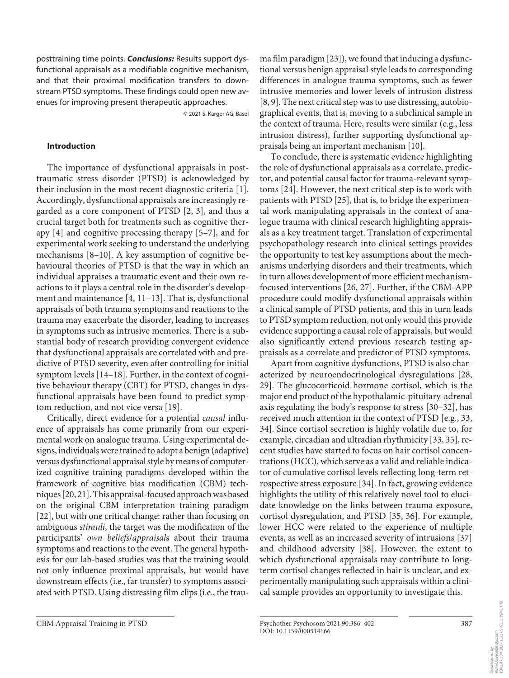posttraining time points. *Conclusions:* Results support dysfunctional appraisals as a modifiable cognitive mechanism, and that their proximal modification transfers to downstream PTSD symptoms. These findings could open new avenues for improving present therapeutic approaches.

© 2021 S. Karger AG, Basel

#### **Introduction**

<span id="page-1-3"></span><span id="page-1-2"></span><span id="page-1-1"></span><span id="page-1-0"></span>The importance of dysfunctional appraisals in posttraumatic stress disorder (PTSD) is acknowledged by their inclusion in the most recent diagnostic criteria [[1\]](#page-14-0). Accordingly, dysfunctional appraisals are increasingly regarded as a core component of PTSD [\[2](#page-14-1), [3\]](#page-14-2), and thus a crucial target both for treatments such as cognitive therapy [\[4\]](#page-14-3) and cognitive processing therapy [\[5](#page-14-4)[–7\]](#page-14-5), and for experimental work seeking to understand the underlying mechanisms [[8](#page-14-6)–[1](#page-14-0)0]. A key assumption of cognitive behavioural theories of PTSD is that the way in which an individual appraises a traumatic event and their own reactions to it plays a central role in the disorder's development and maintenance [\[4,](#page-14-3) [11–1](#page-14-0)[3](#page-14-2)]. That is, dysfunctional appraisals of both trauma symptoms and reactions to the trauma may exacerbate the disorder, leading to increases in symptoms such as intrusive memories. There is a substantial body of research providing convergent evidence that dysfunctional appraisals are correlated with and predictive of PTSD severity, even after controlling for initial symptom levels [\[1](#page-14-0)[4–](#page-14-3)[1](#page-14-0)[8](#page-14-6)]. Further, in the context of cognitive behaviour therapy (CBT) for PTSD, changes in dysfunctional appraisals have been found to predict symptom reduction, and not vice versa [\[1](#page-14-0)[9](#page-14-7)].

<span id="page-1-8"></span><span id="page-1-7"></span><span id="page-1-6"></span><span id="page-1-5"></span><span id="page-1-4"></span>Critically, direct evidence for a potential *causal* influence of appraisals has come primarily from our experimental work on analogue trauma. Using experimental designs, individuals were trained to adopt a benign (adaptive) versus dysfunctional appraisal style by means of computerized cognitive training paradigms developed within the framework of cognitive bias modification (CBM) techniques [\[2](#page-14-1)0, [2](#page-14-1)[1\]](#page-14-0). This appraisal-focused approach was based on the original CBM interpretation training paradigm [\[22\]](#page-14-1), but with one critical change: rather than focusing on ambiguous *stimuli*, the target was the modification of the participants' *own beliefs*/*appraisal*s about their trauma symptoms and reactions to the event. The general hypothesis for our lab-based studies was that the training would not only influence proximal appraisals, but would have downstream effects (i.e., far transfer) to symptoms associated with PTSD. Using distressing film clips (i.e., the trau<span id="page-1-9"></span>ma film paradigm [[2](#page-14-1)[3](#page-14-2)]), we found that inducing a dysfunctional versus benign appraisal style leads to corresponding differences in analogue trauma symptoms, such as fewer intrusive memories and lower levels of intrusion distress [[8,](#page-14-6) [9](#page-14-7)]. The next critical step was to use distressing, autobiographical events, that is, moving to a subclinical sample in the context of trauma. Here, results were similar (e.g., less intrusion distress), further supporting dysfunctional appraisals being an important mechanism [[1](#page-14-0)0].

<span id="page-1-11"></span><span id="page-1-10"></span>To conclude, there is systematic evidence highlighting the role of dysfunctional appraisals as a correlate, predictor, and potential causal factor for trauma-relevant symptoms [\[2](#page-14-1)[4\]](#page-14-3). However, the next critical step is to work with patients with PTSD [[2](#page-14-1)[5](#page-14-4)], that is, to bridge the experimental work manipulating appraisals in the context of analogue trauma with clinical research highlighting appraisals as a key treatment target. Translation of experimental psychopathology research into clinical settings provides the opportunity to test key assumptions about the mechanisms underlying disorders and their treatments, which in turn allows development of more efficient mechanismfocused interventions [[2](#page-14-1)[6](#page-14-8), [2](#page-14-1)[7](#page-14-5)]. Further, if the CBM-APP procedure could modify dysfunctional appraisals within a clinical sample of PTSD patients, and this in turn leads to PTSD symptom reduction, not only would this provide evidence supporting a causal role of appraisals, but would also significantly extend previous research testing appraisals as a correlate and predictor of PTSD symptoms.

<span id="page-1-19"></span><span id="page-1-18"></span><span id="page-1-17"></span><span id="page-1-16"></span><span id="page-1-15"></span><span id="page-1-14"></span><span id="page-1-13"></span><span id="page-1-12"></span>Apart from cognitive dysfunctions, PTSD is also characterized by neuroendocrinological dysregulations [[2](#page-14-1)[8](#page-14-6), [2](#page-14-1)[9\]](#page-14-7). The glucocorticoid hormone cortisol, which is the major end product of the hypothalamic-pituitary-adrenal axis regulating the body's response to stress [\[30](#page-14-2)–[3](#page-14-2)[2](#page-14-1)], has received much attention in the context of PTSD [e.g., 33, [3](#page-14-2)[4\]](#page-14-3). Since cortisol secretion is highly volatile due to, for example, circadian and ultradian rhythmicity [\[33](#page-14-2), [3](#page-14-2)[5\]](#page-14-4), recent studies have started to focus on hair cortisol concentrations (HCC), which serve as a valid and reliable indicator of cumulative cortisol levels reflecting long-term retrospective stress exposure [[3](#page-14-2)[4](#page-14-3)]. In fact, growing evidence highlights the utility of this relatively novel tool to elucidate knowledge on the links between trauma exposure, cortisol dysregulation, and PTSD [[3](#page-14-2)[5](#page-14-4), [3](#page-14-2)[6](#page-14-8)]. For example, lower HCC were related to the experience of multiple events, as well as an increased severity of intrusions [\[3](#page-14-2)[7\]](#page-14-5) and childhood adversity [[3](#page-14-2)[8](#page-14-6)]. However, the extent to which dysfunctional appraisals may contribute to longterm cortisol changes reflected in hair is unclear, and experimentally manipulating such appraisals within a clinical sample provides an opportunity to investigate this.

Downloaded by:<br>Ruhr-Universität Bochum<br>134,147,230,182 - 11/17/2021 1:29:41 PM 134.147.230.182 - 11/17/2021 1:29:41 PMRuhr-Universität Bochum Downloaded by: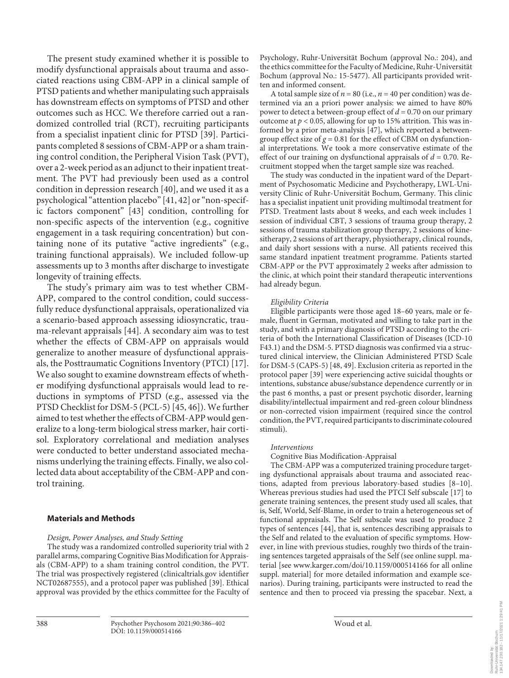<span id="page-2-0"></span>The present study examined whether it is possible to modify dysfunctional appraisals about trauma and associated reactions using CBM-APP in a clinical sample of PTSD patients and whether manipulating such appraisals has downstream effects on symptoms of PTSD and other outcomes such as HCC. We therefore carried out a randomized controlled trial (RCT), recruiting participants from a specialist inpatient clinic for PTSD [\[3](#page-14-2)[9\]](#page-14-7). Participants completed 8 sessions of CBM-APP or a sham training control condition, the Peripheral Vision Task (PVT), over a 2-week period as an adjunct to their inpatient treatment. The PVT had previously been used as a control condition in depression research [[4](#page-14-3)0], and we used it as a psychological "attention placebo" [[4](#page-14-3)[1](#page-14-0), [4](#page-14-3)[2](#page-14-1)] or "non-specific factors component" [\[4](#page-14-3)[3\]](#page-14-2) condition, controlling for non-specific aspects of the intervention (e.g., cognitive engagement in a task requiring concentration) but containing none of its putative "active ingredients" (e.g., training functional appraisals). We included follow-up assessments up to 3 months after discharge to investigate longevity of training effects.

<span id="page-2-3"></span><span id="page-2-2"></span><span id="page-2-1"></span>The study's primary aim was to test whether CBM-APP, compared to the control condition, could successfully reduce dysfunctional appraisals, operationalized via a scenario-based approach assessing idiosyncratic, trauma-relevant appraisals [[44](#page-14-3)]. A secondary aim was to test whether the effects of CBM-APP on appraisals would generalize to another measure of dysfunctional appraisals, the Posttraumatic Cognitions Inventory (PTCI) [\[1](#page-14-0)[7\]](#page-14-5). We also sought to examine downstream effects of whether modifying dysfunctional appraisals would lead to reductions in symptoms of PTSD (e.g., assessed via the PTSD Checklist for DSM-5 (PCL-5) [\[4](#page-14-3)[5,](#page-14-4) [4](#page-14-3)[6\]](#page-14-8)). We further aimed to test whether the effects of CBM-APP would generalize to a long-term biological stress marker, hair cortisol. Exploratory correlational and mediation analyses were conducted to better understand associated mechanisms underlying the training effects. Finally, we also collected data about acceptability of the CBM-APP and control training.

#### <span id="page-2-4"></span>**Materials and Methods**

#### *Design, Power Analyses, and Study Setting*

The study was a randomized controlled superiority trial with 2 parallel arms, comparing Cognitive Bias Modification for Appraisals (CBM-APP) to a sham training control condition, the PVT. The trial was prospectively registered (clinicaltrials.gov identifier NCT02687555), and a protocol paper was published [[3](#page-14-2)[9\]](#page-14-7). Ethical approval was provided by the ethics committee for the Faculty of Psychology, Ruhr-Universität Bochum (approval No.: 204), and the ethics committee for the Faculty of Medicine, Ruhr-Universität Bochum (approval No.: 15-5477). All participants provided written and informed consent.

<span id="page-2-5"></span>A total sample size of  $n = 80$  (i.e.,  $n = 40$  per condition) was determined via an a priori power analysis: we aimed to have 80% power to detect a between-group effect of *d* = 0.70 on our primary outcome at  $p < 0.05$ , allowing for up to 15% attrition. This was informed by a prior meta-analysis [[4](#page-14-3)[7\]](#page-14-5), which reported a betweengroup effect size of  $g = 0.81$  for the effect of CBM on dysfunctional interpretations. We took a more conservative estimate of the effect of our training on dysfunctional appraisals of *d* = 0.70. Recruitment stopped when the target sample size was reached.

The study was conducted in the inpatient ward of the Department of Psychosomatic Medicine and Psychotherapy, LWL-University Clinic of Ruhr-Universität Bochum, Germany. This clinic has a specialist inpatient unit providing multimodal treatment for PTSD. Treatment lasts about 8 weeks, and each week includes 1 session of individual CBT, 3 sessions of trauma group therapy, 2 sessions of trauma stabilization group therapy, 2 sessions of kinesitherapy, 2 sessions of art therapy, physiotherapy, clinical rounds, and daily short sessions with a nurse. All patients received this same standard inpatient treatment programme. Patients started CBM-APP or the PVT approximately 2 weeks after admission to the clinic, at which point their standard therapeutic interventions had already begun.

#### *Eligibility Criteria*

<span id="page-2-6"></span>Eligible participants were those aged 18–60 years, male or female, fluent in German, motivated and willing to take part in the study, and with a primary diagnosis of PTSD according to the criteria of both the International Classification of Diseases (ICD-10 F43.1) and the DSM-5. PTSD diagnosis was confirmed via a structured clinical interview, the Clinician Administered PTSD Scale for DSM-5 (CAPS-5) [\[4](#page-14-3)[8](#page-14-6), [4](#page-14-3)[9](#page-14-7)]. Exclusion criteria as reported in the protocol paper [[3](#page-14-2)[9](#page-14-7)] were experiencing active suicidal thoughts or intentions, substance abuse/substance dependence currently or in the past 6 months, a past or present psychotic disorder, learning disability/intellectual impairment and red-green colour blindness or non-corrected vision impairment (required since the control condition, the PVT, required participants to discriminate coloured stimuli).

#### *Interventions*

Cognitive Bias Modification-Appraisal

The CBM-APP was a computerized training procedure targeting dysfunctional appraisals about trauma and associated reactions, adapted from previous laboratory-based studies [[8](#page-14-6)[–10](#page-14-0)]. Whereas previous studies had used the PTCI Self subscale [\[1](#page-14-0)[7](#page-14-5)] to generate training sentences, the present study used all scales, that is, Self, World, Self-Blame, in order to train a heterogeneous set of functional appraisals. The Self subscale was used to produce 2 types of sentences [\[44\]](#page-14-3), that is, sentences describing appraisals to the Self and related to the evaluation of specific symptoms. However, in line with previous studies, roughly two thirds of the training sentences targeted appraisals of the Self (see online suppl. material [see www.karger.com/doi/10.1159/000514166 for all online suppl. material] for more detailed information and example scenarios). During training, participants were instructed to read the sentence and then to proceed via pressing the spacebar. Next, a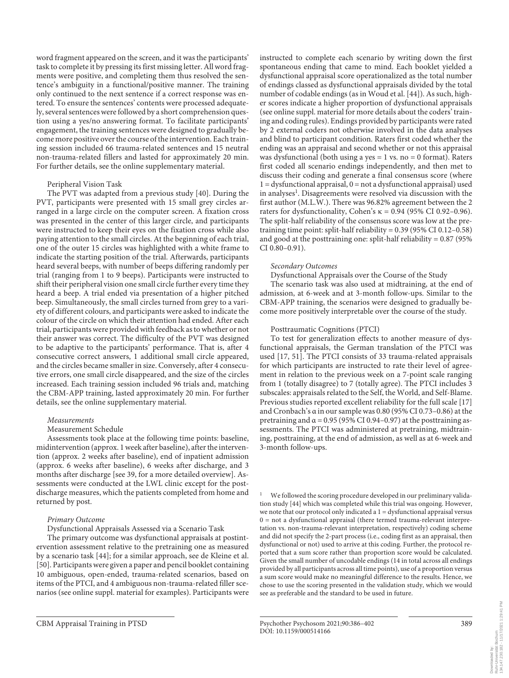word fragment appeared on the screen, and it was the participants' task to complete it by pressing its first missing letter. All word fragments were positive, and completing them thus resolved the sentence's ambiguity in a functional/positive manner. The training only continued to the next sentence if a correct response was entered. To ensure the sentences' contents were processed adequately, several sentences were followed by a short comprehension question using a yes/no answering format. To facilitate participants' engagement, the training sentences were designed to gradually become more positive over the course of the intervention. Each training session included 66 trauma-related sentences and 15 neutral non-trauma-related fillers and lasted for approximately 20 min. For further details, see the online supplementary material.

#### Peripheral Vision Task

The PVT was adapted from a previous study [\[40](#page-14-3)]. During the PVT, participants were presented with 15 small grey circles arranged in a large circle on the computer screen. A fixation cross was presented in the center of this larger circle, and participants were instructed to keep their eyes on the fixation cross while also paying attention to the small circles. At the beginning of each trial, one of the outer 15 circles was highlighted with a white frame to indicate the starting position of the trial. Afterwards, participants heard several beeps, with number of beeps differing randomly per trial (ranging from 1 to 9 beeps). Participants were instructed to shift their peripheral vision one small circle further every time they heard a beep. A trial ended via presentation of a higher pitched beep. Simultaneously, the small circles turned from grey to a variety of different colours, and participants were asked to indicate the colour of the circle on which their attention had ended. After each trial, participants were provided with feedback as to whether or not their answer was correct. The difficulty of the PVT was designed to be adaptive to the participants' performance. That is, after 4 consecutive correct answers, 1 additional small circle appeared, and the circles became smaller in size. Conversely, after 4 consecutive errors, one small circle disappeared, and the size of the circles increased. Each training session included 96 trials and, matching the CBM-APP training, lasted approximately 20 min. For further details, see the online supplementary material.

#### *Measurements*

#### Measurement Schedule

Assessments took place at the following time points: baseline, midintervention (approx. 1 week after baseline), after the intervention (approx. 2 weeks after baseline), end of inpatient admission (approx. 6 weeks after baseline), 6 weeks after discharge, and 3 months after discharge [see [3](#page-14-2)[9,](#page-14-7) for a more detailed overview]. Assessments were conducted at the LWL clinic except for the postdischarge measures, which the patients completed from home and returned by post.

#### *Primary Outcome*

Dysfunctional Appraisals Assessed via a Scenario Task

<span id="page-3-1"></span>The primary outcome was dysfunctional appraisals at postintervention assessment relative to the pretraining one as measured by a scenario task [\[44\]](#page-14-3); for a similar approach, see de Kleine et al. [[5](#page-14-4)0]. Participants were given a paper and pencil booklet containing 10 ambiguous, open-ended, trauma-related scenarios, based on items of the PTCI, and 4 ambiguous non-trauma-related filler scenarios (see online suppl. material for examples). Participants were

instructed to complete each scenario by writing down the first spontaneous ending that came to mind. Each booklet yielded a dysfunctional appraisal score operationalized as the total number of endings classed as dysfunctional appraisals divided by the total number of codable endings (as in Woud et al. [\[44](#page-14-3)]). As such, higher scores indicate a higher proportion of dysfunctional appraisals (see online suppl. material for more details about the coders' training and coding rules). Endings provided by participants were rated by 2 external coders not otherwise involved in the data analyses and blind to participant condition. Raters first coded whether the ending was an appraisal and second whether or not this appraisal was dysfunctional (both using a yes  $= 1$  vs. no  $= 0$  format). Raters first coded all scenario endings independently, and then met to discuss their coding and generate a final consensus score (where  $1 =$  dysfunctional appraisal,  $0 =$  not a dysfunctional appraisal) used in analyses<sup>1</sup>. Disagreements were resolved via discussion with the first author (M.L.W.). There was 96.82% agreement between the 2 raters for dysfunctionality, Cohen's  $\kappa = 0.94$  (95% CI 0.92-0.96). The split-half reliability of the consensus score was low at the pretraining time point: split-half reliability = 0.39 (95% CI 0.12–0.58) and good at the posttraining one: split-half reliability =  $0.87$  (95%) CI 0.80–0.91).

#### *Secondary Outcomes*

Dysfunctional Appraisals over the Course of the Study The scenario task was also used at midtraining, at the end of admission, at 6-week and at 3-month follow-ups. Similar to the CBM-APP training, the scenarios were designed to gradually become more positively interpretable over the course of the study.

#### Posttraumatic Cognitions (PTCI)

<span id="page-3-2"></span>To test for generalization effects to another measure of dysfunctional appraisals, the German translation of the PTCI was used [[1](#page-14-0)[7,](#page-14-5) [5](#page-14-4)[1\]](#page-14-0). The PTCI consists of 33 trauma-related appraisals for which participants are instructed to rate their level of agreement in relation to the previous week on a 7-point scale ranging from 1 (totally disagree) to 7 (totally agree). The PTCI includes 3 subscales: appraisals related to the Self, the World, and Self-Blame. Previous studies reported excellent reliability for the full scale [\[1](#page-14-0)[7](#page-14-5)] and Cronbach's α in our sample was 0.80 (95% CI 0.73–0.86) at the pretraining and  $\alpha$  = 0.95 (95% CI 0.94–0.97) at the posttraining assessments. The PTCI was administered at pretraining, midtraining, posttraining, at the end of admission, as well as at 6-week and 3-month follow-ups.

<span id="page-3-0"></span>We followed the scoring procedure developed in our preliminary validation study [[44\]](#page-14-3) which was completed while this trial was ongoing. However, we note that our protocol only indicated a  $1 =$  dysfunctional appraisal versus 0 = not a dysfunctional appraisal (there termed trauma-relevant interpretation vs. non-trauma-relevant interpretation, respectively) coding scheme and did not specify the 2-part process (i.e., coding first as an appraisal, then dysfunctional or not) used to arrive at this coding. Further, the protocol reported that a sum score rather than proportion score would be calculated. Given the small number of uncodable endings (14 in total across all endings provided by all participants across all time points), use of a proportion versus a sum score would make no meaningful difference to the results. Hence, we chose to use the scoring presented in the validation study, which we would see as preferable and the standard to be used in future.

CBM Appraisal Training in PTSD Psychother Psychosom 2021;90:386–402 389 DOI: 10.1159/000514166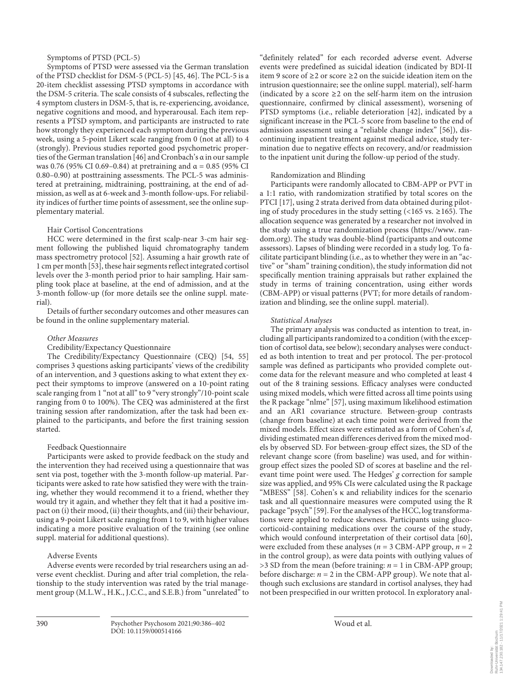Symptoms of PTSD (PCL-5)

Symptoms of PTSD were assessed via the German translation of the PTSD checklist for DSM-5 (PCL-5) [[4](#page-14-3)[5,](#page-14-4) [4](#page-14-3)[6](#page-14-8)]. The PCL-5 is a 20-item checklist assessing PTSD symptoms in accordance with the DSM-5 criteria. The scale consists of 4 subscales, reflecting the 4 symptom clusters in DSM-5, that is, re-experiencing, avoidance, negative cognitions and mood, and hyperarousal. Each item represents a PTSD symptom, and participants are instructed to rate how strongly they experienced each symptom during the previous week, using a 5-point Likert scale ranging from 0 (not at all) to 4 (strongly). Previous studies reported good psychometric properties of the German translation [[4](#page-14-3)[6\]](#page-14-8) and Cronbach's α in our sample was 0.76 (95% CI 0.69–0.84) at pretraining and  $\alpha$  = 0.85 (95% CI 0.80–0.90) at posttraining assessments. The PCL-5 was administered at pretraining, midtraining, posttraining, at the end of admission, as well as at 6-week and 3-month follow-ups. For reliability indices of further time points of assessment, see the online supplementary material.

## Hair Cortisol Concentrations

<span id="page-4-1"></span><span id="page-4-0"></span>HCC were determined in the first scalp-near 3-cm hair segment following the published liquid chromatography tandem mass spectrometry protocol [[5](#page-14-4)[2\]](#page-14-1). Assuming a hair growth rate of 1 cm per month [\[5](#page-14-4)[3\]](#page-14-2), these hair segments reflect integrated cortisol levels over the 3-month period prior to hair sampling. Hair sampling took place at baseline, at the end of admission, and at the 3-month follow-up (for more details see the online suppl. material).

Details of further secondary outcomes and other measures can be found in the online supplementary material.

## *Other Measures*

<span id="page-4-2"></span>Credibility/Expectancy Questionnaire

The Credibility/Expectancy Questionnaire (CEQ) [\[5](#page-14-4)[4](#page-14-3), [55\]](#page-14-4) comprises 3 questions asking participants' views of the credibility of an intervention, and 3 questions asking to what extent they expect their symptoms to improve (answered on a 10-point rating scale ranging from 1 "not at all" to 9 "very strongly"/10-point scale ranging from 0 to 100%). The CEQ was administered at the first training session after randomization, after the task had been explained to the participants, and before the first training session started.

# Feedback Questionnaire

Participants were asked to provide feedback on the study and the intervention they had received using a questionnaire that was sent via post, together with the 3-month follow-up material. Participants were asked to rate how satisfied they were with the training, whether they would recommend it to a friend, whether they would try it again, and whether they felt that it had a positive impact on (i) their mood, (ii) their thoughts, and (iii) their behaviour, using a 9-point Likert scale ranging from 1 to 9, with higher values indicating a more positive evaluation of the training (see online suppl. material for additional questions).

# Adverse Events

Adverse events were recorded by trial researchers using an adverse event checklist. During and after trial completion, the relationship to the study intervention was rated by the trial management group (M.L.W., H.K., J.C.C., and S.E.B.) from "unrelated" to "definitely related" for each recorded adverse event. Adverse events were predefined as suicidal ideation (indicated by BDI-II item 9 score of ≥2 or score ≥2 on the suicide ideation item on the intrusion questionnaire; see the online suppl. material), self-harm (indicated by a score  $\geq 2$  on the self-harm item on the intrusion questionnaire, confirmed by clinical assessment), worsening of PTSD symptoms (i.e., reliable deterioration [[4](#page-14-3)[2\]](#page-14-1), indicated by a significant increase in the PCL-5 score from baseline to the end of admission assessment using a "reliable change index" [[5](#page-14-4)[6\]](#page-14-8)), discontinuing inpatient treatment against medical advice, study termination due to negative effects on recovery, and/or readmission to the inpatient unit during the follow-up period of the study.

# <span id="page-4-3"></span>Randomization and Blinding

Participants were randomly allocated to CBM-APP or PVT in a 1:1 ratio, with randomization stratified by total scores on the PTCI [\[1](#page-14-0)[7](#page-14-5)], using 2 strata derived from data obtained during piloting of study procedures in the study setting  $($ <165 vs. ≥165). The allocation sequence was generated by a researcher not involved in the study using a true randomization process (https://www. random.org). The study was double-blind (participants and outcome assessors). Lapses of blinding were recorded in a study log. To facilitate participant blinding (i.e., as to whether they were in an "active" or "sham" training condition), the study information did not specifically mention training appraisals but rather explained the study in terms of training concentration, using either words (CBM-APP) or visual patterns (PVT; for more details of randomization and blinding, see the online suppl. material).

## *Statistical Analyses*

<span id="page-4-7"></span><span id="page-4-6"></span><span id="page-4-5"></span><span id="page-4-4"></span>The primary analysis was conducted as intention to treat, including all participants randomized to a condition (with the exception of cortisol data, see below); secondary analyses were conducted as both intention to treat and per protocol. The per-protocol sample was defined as participants who provided complete outcome data for the relevant measure and who completed at least 4 out of the 8 training sessions. Efficacy analyses were conducted using mixed models, which were fitted across all time points using the R package "nlme" [[5](#page-14-4)[7](#page-14-5)], using maximum likelihood estimation and an AR1 covariance structure. Between-group contrasts (change from baseline) at each time point were derived from the mixed models. Effect sizes were estimated as a form of Cohen's *d*, dividing estimated mean differences derived from the mixed models by observed SD. For between-group effect sizes, the SD of the relevant change score (from baseline) was used, and for withingroup effect sizes the pooled SD of scores at baseline and the relevant time point were used. The Hedges' *g* correction for sample size was applied, and 95% CIs were calculated using the R package "MBESS" [\[5](#page-14-4)[8](#page-14-6)]. Cohen's κ and reliability indices for the scenario task and all questionnaire measures were computed using the R package "psych" [\[5](#page-14-4)[9](#page-14-7)]. For the analyses of the HCC, log transformations were applied to reduce skewness. Participants using glucocorticoid-containing medications over the course of the study, which would confound interpretation of their cortisol data [\[60](#page-14-8)], were excluded from these analyses ( $n = 3$  CBM-APP group,  $n = 2$ in the control group), as were data points with outlying values of >3 SD from the mean (before training: *n* = 1 in CBM-APP group; before discharge:  $n = 2$  in the CBM-APP group). We note that although such exclusions are standard in cortisol analyses, they had not been prespecified in our written protocol. In exploratory anal-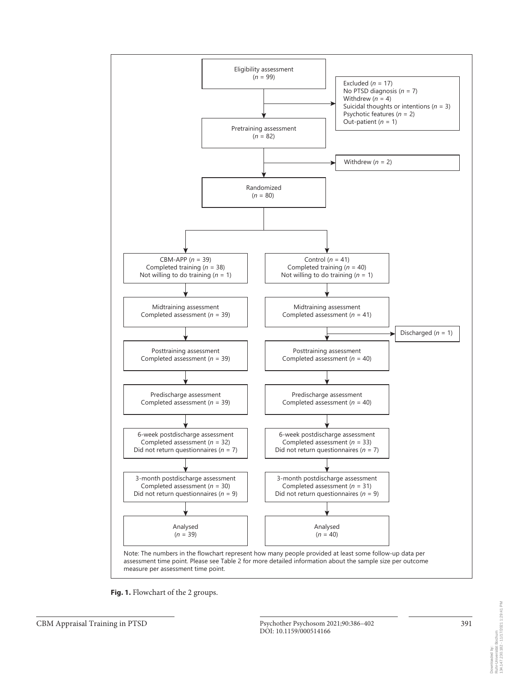

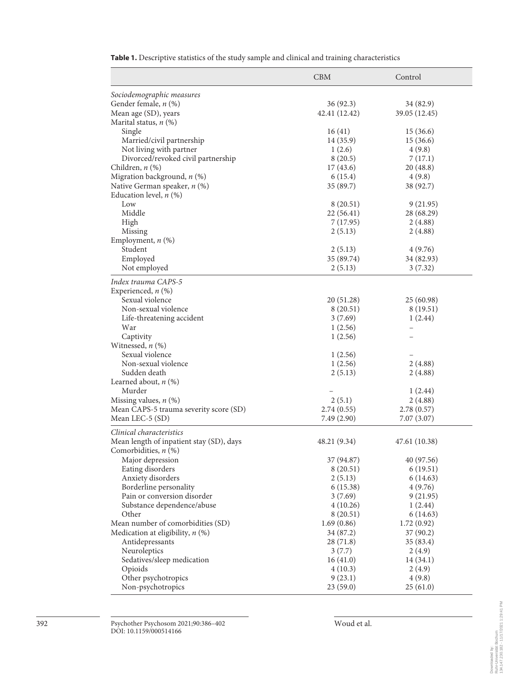|                                          | <b>CBM</b>    | Control       |
|------------------------------------------|---------------|---------------|
| Sociodemographic measures                |               |               |
| Gender female, n (%)                     | 36 (92.3)     | 34 (82.9)     |
| Mean age (SD), years                     | 42.41 (12.42) | 39.05 (12.45) |
| Marital status, $n$ (%)                  |               |               |
| Single                                   | 16(41)        | 15(36.6)      |
| Married/civil partnership                | 14 (35.9)     | 15(36.6)      |
| Not living with partner                  | 1(2.6)        | 4(9.8)        |
| Divorced/revoked civil partnership       | 8(20.5)       | 7(17.1)       |
| Children, $n$ $(\%)$                     | 17(43.6)      | 20(48.8)      |
| Migration background, n (%)              | 6(15.4)       | 4(9.8)        |
| Native German speaker, n (%)             | 35 (89.7)     | 38 (92.7)     |
| Education level, $n$ (%)                 |               |               |
| Low                                      | 8 (20.51)     | 9(21.95)      |
| Middle                                   | 22 (56.41)    | 28 (68.29)    |
| High                                     | 7 (17.95)     | 2(4.88)       |
| Missing                                  | 2(5.13)       | 2(4.88)       |
| Employment, $n$ (%)                      |               |               |
| Student                                  | 2(5.13)       | 4(9.76)       |
| Employed                                 | 35 (89.74)    | 34 (82.93)    |
| Not employed                             | 2(5.13)       | 3(7.32)       |
|                                          |               |               |
| Index trauma CAPS-5                      |               |               |
| Experienced, $n$ (%)                     |               |               |
| Sexual violence                          | 20 (51.28)    | 25(60.98)     |
| Non-sexual violence                      | 8 (20.51)     | 8(19.51)      |
| Life-threatening accident                | 3(7.69)       | 1(2.44)       |
| War                                      | 1(2.56)       |               |
| Captivity                                | 1(2.56)       |               |
| Witnessed, $n$ $(\%)$                    |               |               |
| Sexual violence                          | 1(2.56)       |               |
| Non-sexual violence                      | 1(2.56)       | 2(4.88)       |
| Sudden death                             | 2(5.13)       | 2(4.88)       |
| Learned about, $n$ (%)                   |               |               |
| Murder                                   |               | 1(2.44)       |
| Missing values, $n$ (%)                  | 2(5.1)        | 2(4.88)       |
| Mean CAPS-5 trauma severity score (SD)   | 2.74(0.55)    | 2.78(0.57)    |
| Mean LEC-5 (SD)                          | 7.49 (2.90)   | 7.07 (3.07)   |
| Clinical characteristics                 |               |               |
| Mean length of inpatient stay (SD), days | 48.21 (9.34)  | 47.61 (10.38) |
| Comorbidities, $n$ (%)                   |               |               |
| Major depression                         | 37 (94.87)    | 40 (97.56)    |
| Eating disorders                         | 8(20.51)      | 6(19.51)      |
| Anxiety disorders                        | 2(5.13)       | 6(14.63)      |
| Borderline personality                   | 6(15.38)      | 4(9.76)       |
| Pain or conversion disorder              | 3(7.69)       | 9(21.95)      |
|                                          |               | 1(2.44)       |
| Substance dependence/abuse<br>Other      | 4(10.26)      |               |
|                                          | 8(20.51)      | 6(14.63)      |
| Mean number of comorbidities (SD)        | 1.69(0.86)    | 1.72(0.92)    |
| Medication at eligibility, $n$ (%)       | 34 (87.2)     | 37(90.2)      |
| Antidepressants                          | 28 (71.8)     | 35 (83.4)     |
| Neuroleptics                             | 3(7.7)        | 2(4.9)        |
| Sedatives/sleep medication               | 16(41.0)      | 14 (34.1)     |
| Opioids                                  | 4(10.3)       | 2(4.9)        |
| Other psychotropics                      | 9(23.1)       | 4(9.8)        |
| Non-psychotropics                        | 23(59.0)      | 25(61.0)      |

**Table 1.** Descriptive statistics of the study sample and clinical and training characteristics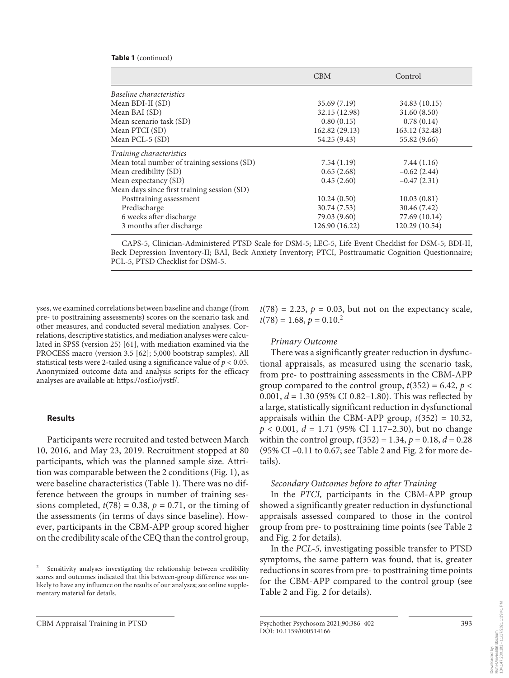#### **Table 1** (continued)

|                                             | <b>CBM</b>     | Control        |
|---------------------------------------------|----------------|----------------|
| Baseline characteristics                    |                |                |
| Mean BDI-II (SD)                            | 35.69(7.19)    | 34.83 (10.15)  |
| Mean BAI (SD)                               | 32.15 (12.98)  | 31.60(8.50)    |
| Mean scenario task (SD)                     | 0.80(0.15)     | 0.78(0.14)     |
| Mean PTCI (SD)                              | 162.82 (29.13) | 163.12 (32.48) |
| Mean PCL-5 (SD)                             | 54.25 (9.43)   | 55.82 (9.66)   |
| Training characteristics                    |                |                |
| Mean total number of training sessions (SD) | 7.54(1.19)     | 7.44(1.16)     |
| Mean credibility (SD)                       | 0.65(2.68)     | $-0.62(2.44)$  |
| Mean expectancy (SD)                        | 0.45(2.60)     | $-0.47(2.31)$  |
| Mean days since first training session (SD) |                |                |
| Posttraining assessment                     | 10.24(0.50)    | 10.03(0.81)    |
| Predischarge                                | 30.74 (7.53)   | 30.46 (7.42)   |
| 6 weeks after discharge                     | 79.03 (9.60)   | 77.69 (10.14)  |
| 3 months after discharge                    | 126.90 (16.22) | 120.29 (10.54) |

CAPS-5, Clinician-Administered PTSD Scale for DSM-5; LEC-5, Life Event Checklist for DSM-5; BDI-II, Beck Depression Inventory-II; BAI, Beck Anxiety Inventory; PTCI, Posttraumatic Cognition Questionnaire; PCL-5, PTSD Checklist for DSM-5.

<span id="page-7-1"></span><span id="page-7-0"></span>yses, we examined correlations between baseline and change (from pre- to posttraining assessments) scores on the scenario task and other measures, and conducted several mediation analyses. Correlations, descriptive statistics, and mediation analyses were calculated in SPSS (version 25) [\[6](#page-14-8)[1\]](#page-14-0), with mediation examined via the PROCESS macro (version 3.5 [\[6](#page-14-8)[2](#page-14-1)]; 5,000 bootstrap samples). All statistical tests were 2-tailed using a significance value of *p* < 0.05. Anonymized outcome data and analysis scripts for the efficacy analyses are available at: https://osf.io/jvstf/.

#### **Results**

Participants were recruited and tested between March 10, 2016, and May 23, 2019. Recruitment stopped at 80 participants, which was the planned sample size. Attrition was comparable between the 2 conditions (Fig. 1), as were baseline characteristics (Table 1). There was no difference between the groups in number of training sessions completed,  $t(78) = 0.38$ ,  $p = 0.71$ , or the timing of the assessments (in terms of days since baseline). However, participants in the CBM-APP group scored higher on the credibility scale of the CEQ than the control group,

 $t(78) = 2.23$ ,  $p = 0.03$ , but not on the expectancy scale,  $t(78) = 1.68, p = 0.10<sup>2</sup>$ 

#### *Primary Outcome*

There was a significantly greater reduction in dysfunctional appraisals, as measured using the scenario task, from pre- to posttraining assessments in the CBM-APP group compared to the control group,  $t(352) = 6.42$ ,  $p <$ 0.001, *d* = 1.30 (95% CI 0.82–1.80). This was reflected by a large, statistically significant reduction in dysfunctional appraisals within the CBM-APP group,  $t(352) = 10.32$ , *p* < 0.001, *d* = 1.71 (95% CI 1.17–2.30), but no change within the control group,  $t(352) = 1.34$ ,  $p = 0.18$ ,  $d = 0.28$ (95% CI –0.11 to 0.67; see Table 2 and Fig. 2 for more details).

#### *Secondary Outcomes before to after Training*

In the *PTCI,* participants in the CBM-APP group showed a significantly greater reduction in dysfunctional appraisals assessed compared to those in the control group from pre- to posttraining time points (see Table 2 and Fig. 2 for details).

In the *PCL-5,* investigating possible transfer to PTSD symptoms, the same pattern was found, that is, greater reductions in scores from pre- to posttraining time points for the CBM-APP compared to the control group (see Table 2 and Fig. 2 for details).

<sup>&</sup>lt;sup>2</sup> Sensitivity analyses investigating the relationship between credibility scores and outcomes indicated that this between-group difference was unlikely to have any influence on the results of our analyses; see online supplementary material for details.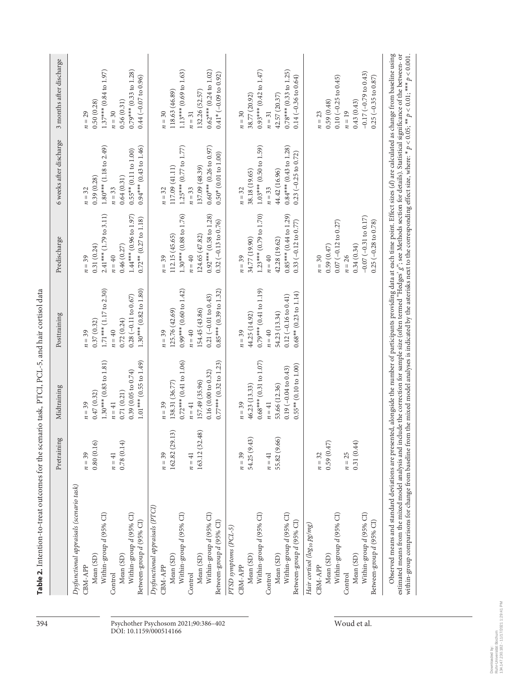|                                                                                                                                                                                                                                                                                                                                                                                                                                                                                                                                                                                                                  | Pretraining                                                | Midtraining                                                                                                                          | Posttraining                                                                                                                               | Predischarge                                                                                                                             | 6 weeks after discharge                                                                                                                    | 3 months after discharge                                                                                                                  |
|------------------------------------------------------------------------------------------------------------------------------------------------------------------------------------------------------------------------------------------------------------------------------------------------------------------------------------------------------------------------------------------------------------------------------------------------------------------------------------------------------------------------------------------------------------------------------------------------------------------|------------------------------------------------------------|--------------------------------------------------------------------------------------------------------------------------------------|--------------------------------------------------------------------------------------------------------------------------------------------|------------------------------------------------------------------------------------------------------------------------------------------|--------------------------------------------------------------------------------------------------------------------------------------------|-------------------------------------------------------------------------------------------------------------------------------------------|
| Dysfunctional appraisals (scenario task)<br>Within-group d (95% CI)<br>Within-group $d$ (95% CI)<br>Between-group d (95% CI)<br>Mean (SD)<br>Mean (SD)<br>CBM-APP<br>Control                                                                                                                                                                                                                                                                                                                                                                                                                                     | 0.80(0.16)<br>0.78(0.14)<br>$n=39$<br>$n = 41$             | $1.30***$ (0.83 to $1.81$ )<br>$1.01***$ (0.55 to 1.49)<br>0.39(0.05 to 0.74)<br>0.71(0.21)<br>0.47(0.32)<br>$n = 41$<br>$n=39$      | $1.71***$ (1.17 to 2.30)<br>$1.30***$ (0.82 to 1.80)<br>$0.28(-0.11 to 0.67)$<br>0.72(0.24)<br>0.37(0.32)<br>$n = 40$<br>$n=39$            | $2.41***$ (1.79 to 3.11)<br>$1.44***$ (0.96 to 1.97)<br>$0.72***$ (0.27 to 1.18)<br>0.31(0.24)<br>0.46(0.27)<br>$n = 40$<br>$n=39$       | $1.80***$ (1.18 to 2.49)<br>$0.94***$ (0.43 to 1.46)<br>$0.55***$ (0.11 to 1.00)<br>0.64(0.31)<br>0.39(0.28)<br>$n = 33$<br>$n = 32$       | $1.37***$ (0.84 to 1.97)<br>$0.79***$ (0.33 to 1.28)<br>$0.44 (-0.07 to 0.96)$<br>0.56(0.31)<br>0.50(0.28)<br>$n=30$<br>$n = 29$          |
| Dysfunctional appraisals (PTCI)<br>Within-group d (95% CI)<br>Within-group d (95% CI)<br>Between-group d (95% CI)<br>Mean (SD)<br>Mean (SD)<br>CBM-APP<br>Control                                                                                                                                                                                                                                                                                                                                                                                                                                                | 163.12 (32.48)<br>3)<br>162.82 (29.1<br>$n=39$<br>$n = 41$ | $0.72***$ (0.41 to 1.06)<br>$0.77***$ (0.32 to 1.23)<br>0.16(0.00 to 0.32)<br>157.49 (35.96)<br>138.31 (36.77)<br>$n = 41$<br>$n=39$ | $0.99***$ (0.60 to 1.42)<br>$0.85***$ (0.39 to 1.32)<br>$0.21 (-0.01 to 0.43)$<br>125.76 (42.69)<br>154.45 (43.86)<br>$n = 40$<br>$n = 39$ | $1.30***$ (0.88 to 1.76)<br>$0.92***$ (0.58 to 1.28)<br>$0.32 (-0.13 to 0.76)$<br>112.15 (45.65)<br>124.65 (47.82)<br>$n = 40$<br>$n=39$ | $1.25***$ (0.77 to $1.77$ )<br>$0.60***$ (0.26 to 0.97)<br>$0.50*(0.01 to 1.00)$<br>117.09 (41.11)<br>137.09 (48.39)<br>$n=33$<br>$n = 32$ | $1.13***$ (0.69 to 1.63)<br>$0.62***$ (0.24 to 1.02)<br>$0.41*$ (-0.09 to 0.92)<br>118.63 (46.89)<br>132.26 (52.57)<br>$n=31$<br>$n = 30$ |
| Within-group d (95% CI)<br>Within-group d (95% CI)<br>Between-group d (95% CI)<br>PTSD symptoms (PCL-5)<br>Mean (SD)<br>Mean (SD)<br>CBM-APP<br>Control                                                                                                                                                                                                                                                                                                                                                                                                                                                          | 54.25 (9.43)<br>55.82 (9.66)<br>$n=39$<br>$n = 41$         | $0.68***$ (0.31 to 1.07)<br>$0.55**$ (0.10 to 1.00)<br>$0.19(-0.04 to 0.43)$<br>53.66 (12.36)<br>46.23 (13.33)<br>$n = 41$<br>$n=39$ | $0.79***$ (0.41 to 1.19)<br>$0.68**$ (0.23 to 1.14)<br>$0.12 (-0.16 to 0.41)$<br>54.23 (13.34)<br>44.25 (14.92)<br>$n = 40$<br>$n=39$      | $1.23***$ (0.79 to 1.70)<br>$0.85***$ (0.44 to 1.29)<br>$0.33(-0.12 to 0.77)$<br>34.77 (19.90)<br>42.28 (19.62)<br>$n = 40$<br>$n=39$    | $1.03***$ (0.50 to 1.59)<br>$0.84***$ (0.43 to 1.28)<br>$0.23$ (-0.25 to 0.72)<br>38.18 (19.65)<br>44.42 (16.96)<br>$n = 33$<br>$n = 32$   | $0.93***$ (0.42 to 1.47)<br>$0.78***$ (0.33 to 1.25)<br>$0.14 (-0.36 to 0.64)$<br>38.77 (20.92)<br>42.57 (20.37)<br>$n=31$<br>$n=30$      |
| Within-group d (95% CI)<br>Within-group d (95% CI)<br>Between-group d (95% CI)<br>Hair cortisol (log <sub>10</sub> pg/mg)<br>Mean (SD)<br>Mean (SD)<br>CBM-APP<br>Control                                                                                                                                                                                                                                                                                                                                                                                                                                        | 0.59(0.47)<br>0.31(0.44)<br>$n = 25$<br>$n = 32$           |                                                                                                                                      |                                                                                                                                            | $-0.07$ $(-0.31$ to $0.17)$<br>$0.07 (-0.12 to 0.27)$<br>$0.25 (-0.28 to 0.78)$<br>0.34(0.34)<br>0.59(0.47)<br>$n = 26$<br>$n=30$        |                                                                                                                                            | $-0.17$ $(-0.79$ to $0.43)$<br>$0.10 (-0.25 to 0.45)$<br>$0.25 (-0.35 to 0.87)$<br>0.59(0.48)<br>0.43(0.43)<br>$n = 19$<br>$n = 23$       |
| Observed means and standard deviations are presented, alongside the number of participants providing data at each time point. Effect sizes (d) are calculated as change from baseline using<br>estimated means from the mixed model analysis and include the correction for sample size (often termed "Hedges' g"; see Methods section for details). Statistical significance of the between- or<br>within-group comparisons for change from baseline from the mixed model analyses is indicated by the asterisks next to the corresponding effect size, where: * $p < 0.05$ , ** $p < 0.01$ ; *** $p < 0.001$ . |                                                            |                                                                                                                                      |                                                                                                                                            |                                                                                                                                          |                                                                                                                                            |                                                                                                                                           |

394 Psychother Psychosom 2021;90:386–402 Woud et al. DOI: 10.1159/000514166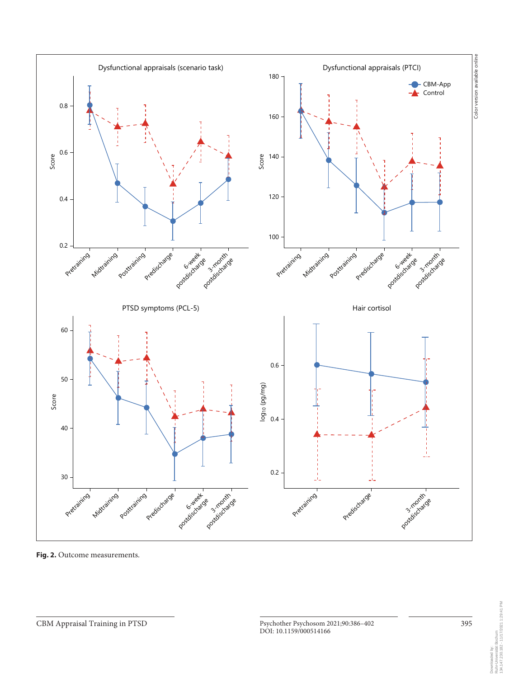

**Fig. 2.** Outcome measurements.

134.147.230.182 - 11/17/2021 1:29:41 PM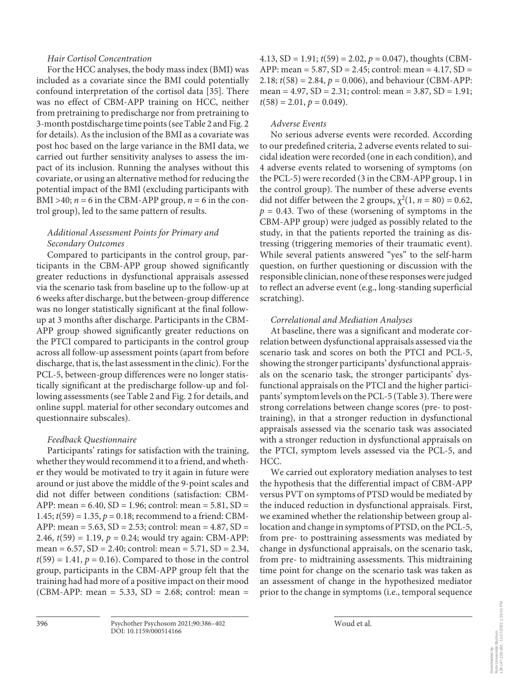## *Hair Cortisol Concentration*

For the HCC analyses, the body mass index (BMI) was included as a covariate since the BMI could potentially confound interpretation of the cortisol data [\[3](#page-14-2)[5\]](#page-14-4). There was no effect of CBM-APP training on HCC, neither from pretraining to predischarge nor from pretraining to 3-month postdischarge time points (see Table 2 and Fig. 2 for details). As the inclusion of the BMI as a covariate was post hoc based on the large variance in the BMI data, we carried out further sensitivity analyses to assess the impact of its inclusion. Running the analyses without this covariate, or using an alternative method for reducing the potential impact of the BMI (excluding participants with BMI >40;  $n = 6$  in the CBM-APP group,  $n = 6$  in the control group), led to the same pattern of results.

# *Additional Assessment Points for Primary and Secondary Outcomes*

Compared to participants in the control group, participants in the CBM-APP group showed significantly greater reductions in dysfunctional appraisals assessed via the scenario task from baseline up to the follow-up at 6 weeks after discharge, but the between-group difference was no longer statistically significant at the final followup at 3 months after discharge. Participants in the CBM-APP group showed significantly greater reductions on the PTCI compared to participants in the control group across all follow-up assessment points (apart from before discharge, that is, the last assessment in the clinic). For the PCL-5, between-group differences were no longer statistically significant at the predischarge follow-up and following assessments (see Table 2 and Fig. 2 for details, and online suppl. material for other secondary outcomes and questionnaire subscales).

# *Feedback Questionnaire*

Participants' ratings for satisfaction with the training, whether they would recommend it to a friend, and whether they would be motivated to try it again in future were around or just above the middle of the 9-point scales and did not differ between conditions (satisfaction: CBM-APP: mean =  $6.40$ , SD = 1.96; control: mean =  $5.81$ , SD = 1.45;  $t(59) = 1.35$ ,  $p = 0.18$ ; recommend to a friend: CBM-APP: mean =  $5.63$ , SD =  $2.53$ ; control: mean =  $4.87$ , SD = 2.46, *t*(59) = 1.19, *p* = 0.24; would try again: CBM-APP: mean =  $6.57$ , SD =  $2.40$ ; control: mean =  $5.71$ , SD =  $2.34$ ,  $t(59) = 1.41$ ,  $p = 0.16$ ). Compared to those in the control group, participants in the CBM-APP group felt that the training had had more of a positive impact on their mood (CBM-APP: mean = 5.33, SD = 2.68; control: mean = 4.13,  $SD = 1.91$ ;  $t(59) = 2.02$ ,  $p = 0.047$ ), thoughts (CBM-APP: mean =  $5.87$ , SD =  $2.45$ ; control: mean =  $4.17$ , SD = 2.18; *t*(58) = 2.84, *p* = 0.006), and behaviour (CBM-APP: mean =  $4.97$ , SD =  $2.31$ ; control: mean =  $3.87$ , SD =  $1.91$ ;  $t(58) = 2.01, p = 0.049$ .

## *Adverse Events*

No serious adverse events were recorded. According to our predefined criteria, 2 adverse events related to suicidal ideation were recorded (one in each condition), and 4 adverse events related to worsening of symptoms (on the PCL-5) were recorded (3 in the CBM-APP group, 1 in the control group). The number of these adverse events did not differ between the 2 groups,  $\chi^2(1, n = 80) = 0.62$ ,  $p = 0.43$ . Two of these (worsening of symptoms in the CBM-APP group) were judged as possibly related to the study, in that the patients reported the training as distressing (triggering memories of their traumatic event). While several patients answered "yes" to the self-harm question, on further questioning or discussion with the responsible clinician, none of these responses were judged to reflect an adverse event (e.g., long-standing superficial scratching).

#### *Correlational and Mediation Analyses*

At baseline, there was a significant and moderate correlation between dysfunctional appraisals assessed via the scenario task and scores on both the PTCI and PCL-5, showing the stronger participants' dysfunctional appraisals on the scenario task, the stronger participants' dysfunctional appraisals on the PTCI and the higher participants' symptom levels on the PCL-5 (Table 3). There were strong correlations between change scores (pre- to posttraining), in that a stronger reduction in dysfunctional appraisals assessed via the scenario task was associated with a stronger reduction in dysfunctional appraisals on the PTCI, symptom levels assessed via the PCL-5, and HCC.

We carried out exploratory mediation analyses to test the hypothesis that the differential impact of CBM-APP versus PVT on symptoms of PTSD would be mediated by the induced reduction in dysfunctional appraisals. First, we examined whether the relationship between group allocation and change in symptoms of PTSD, on the PCL-5, from pre- to posttraining assessments was mediated by change in dysfunctional appraisals, on the scenario task, from pre- to midtraining assessments. This midtraining time point for change on the scenario task was taken as an assessment of change in the hypothesized mediator prior to the change in symptoms (i.e., temporal sequence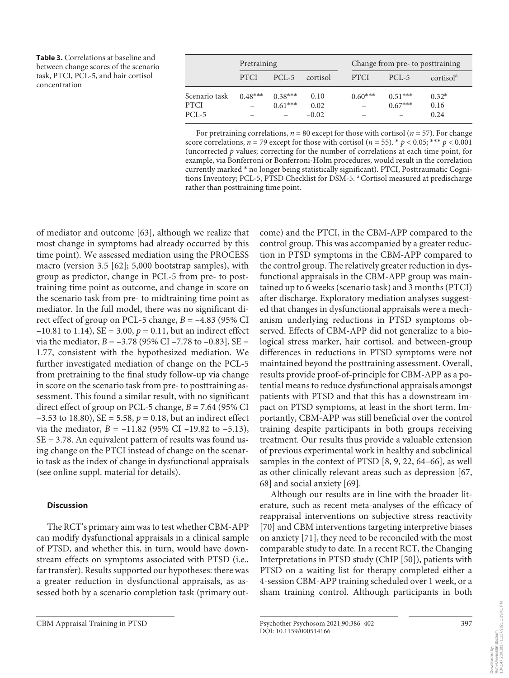**Table 3.** Correlations at baseline and between change scores of the scenario task, PTCI, PCL-5, and hair cortisol concentration

|               | Pretraining |           | Change from pre- to posttraining |             |           |                       |
|---------------|-------------|-----------|----------------------------------|-------------|-----------|-----------------------|
|               | <b>PTCI</b> | $PCI - 5$ | cortisol                         | <b>PTCI</b> | $PCI - 5$ | cortisol <sup>a</sup> |
| Scenario task | $0.48***$   | $0.38***$ | 0.10                             | $0.60***$   | $0.51***$ | $0.32*$               |
| PTCI          |             | $0.61***$ | 0.02                             |             | $0.67***$ | 0.16                  |
| PCL-5         |             |           | $-0.02$                          |             |           | 0.24                  |

For pretraining correlations,  $n = 80$  except for those with cortisol ( $n = 57$ ). For change score correlations,  $n = 79$  except for those with cortisol ( $n = 55$ ). \*  $p < 0.05$ ; \*\*\*  $p < 0.001$ (uncorrected *p* values; correcting for the number of correlations at each time point, for example, via Bonferroni or Bonferroni-Holm procedures, would result in the correlation currently marked \* no longer being statistically significant). PTCI, Posttraumatic Cognitions Inventory; PCL-5, PTSD Checklist for DSM-5. <sup>a</sup> Cortisol measured at predischarge rather than posttraining time point.

<span id="page-11-0"></span>of mediator and outcome [[6](#page-14-8)[3](#page-14-2)], although we realize that most change in symptoms had already occurred by this time point). We assessed mediation using the PROCESS macro (version 3.5 [[6](#page-14-8)[2](#page-14-1)]; 5,000 bootstrap samples), with group as predictor, change in PCL-5 from pre- to posttraining time point as outcome, and change in score on the scenario task from pre- to midtraining time point as mediator. In the full model, there was no significant direct effect of group on PCL-5 change,  $B = -4.83$  (95% CI  $-10.81$  to 1.14), SE = 3.00,  $p = 0.11$ , but an indirect effect via the mediator,  $B = -3.78$  (95% CI –7.78 to –0.83), SE = 1.77, consistent with the hypothesized mediation. We further investigated mediation of change on the PCL-5 from pretraining to the final study follow-up via change in score on the scenario task from pre- to posttraining assessment. This found a similar result, with no significant direct effect of group on PCL-5 change, *B* = 7.64 (95% CI  $-3.53$  to 18.80), SE = 5.58,  $p = 0.18$ , but an indirect effect via the mediator,  $B = -11.82$  (95% CI –19.82 to –5.13),  $SE = 3.78$ . An equivalent pattern of results was found using change on the PTCI instead of change on the scenario task as the index of change in dysfunctional appraisals (see online suppl. material for details).

# **Discussion**

The RCT's primary aim was to test whether CBM-APP can modify dysfunctional appraisals in a clinical sample of PTSD, and whether this, in turn, would have downstream effects on symptoms associated with PTSD (i.e., far transfer). Results supported our hypotheses: there was a greater reduction in dysfunctional appraisals, as assessed both by a scenario completion task (primary outcontrol group. This was accompanied by a greater reduction in PTSD symptoms in the CBM-APP compared to the control group. The relatively greater reduction in dysfunctional appraisals in the CBM-APP group was maintained up to 6 weeks (scenario task) and 3 months (PTCI) after discharge. Exploratory mediation analyses suggested that changes in dysfunctional appraisals were a mechanism underlying reductions in PTSD symptoms observed. Effects of CBM-APP did not generalize to a biological stress marker, hair cortisol, and between-group differences in reductions in PTSD symptoms were not maintained beyond the posttraining assessment. Overall, results provide proof-of-principle for CBM-APP as a potential means to reduce dysfunctional appraisals amongst patients with PTSD and that this has a downstream impact on PTSD symptoms, at least in the short term. Importantly, CBM-APP was still beneficial over the control training despite participants in both groups receiving treatment. Our results thus provide a valuable extension of previous experimental work in healthy and subclinical samples in the context of PTSD [\[8,](#page-14-6) [9](#page-14-7), [22](#page-14-1), [6](#page-14-8)[4–](#page-14-3)[66](#page-14-8)], as well as other clinically relevant areas such as depression [[6](#page-14-8)[7](#page-14-5), [6](#page-14-8)[8\]](#page-14-6) and social anxiety [[6](#page-14-8)[9](#page-14-7)].

come) and the PTCI, in the CBM-APP compared to the

<span id="page-11-5"></span><span id="page-11-4"></span><span id="page-11-3"></span><span id="page-11-2"></span><span id="page-11-1"></span>Although our results are in line with the broader literature, such as recent meta-analyses of the efficacy of reappraisal interventions on subjective stress reactivity [[7](#page-14-5)0] and CBM interventions targeting interpretive biases on anxiety [\[7](#page-14-5)[1\]](#page-14-0), they need to be reconciled with the most comparable study to date. In a recent RCT, the Changing Interpretations in PTSD study (ChIP [[50](#page-14-4)]), patients with PTSD on a waiting list for therapy completed either a 4-session CBM-APP training scheduled over 1 week, or a sham training control. Although participants in both

DOI: 10.1159/000514166

Downloaded by:<br>Ruhr-Universität Bochum<br>134,147,230.182 - 11/17/2021 1:29:41 PM 134.147.230.182 - 11/17/2021 1:29:41 PMRuhr-Universität Bochum Downloaded by: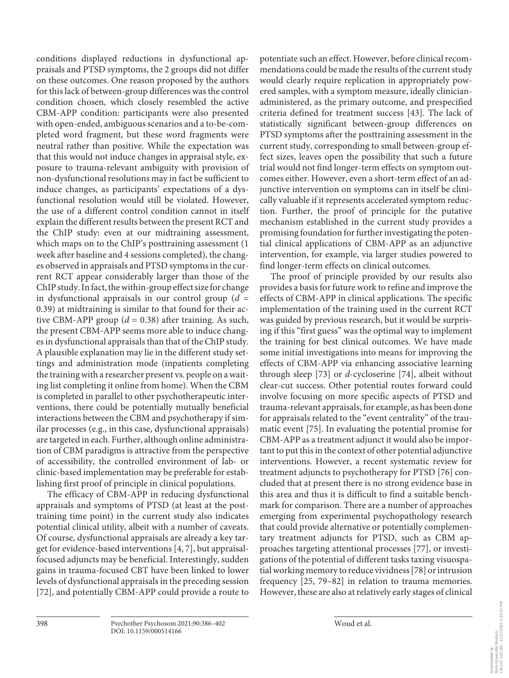conditions displayed reductions in dysfunctional appraisals and PTSD symptoms, the 2 groups did not differ on these outcomes. One reason proposed by the authors for this lack of between-group differences was the control condition chosen, which closely resembled the active CBM-APP condition: participants were also presented with open-ended, ambiguous scenarios and a to-be-completed word fragment, but these word fragments were neutral rather than positive. While the expectation was that this would not induce changes in appraisal style, exposure to trauma-relevant ambiguity with provision of non-dysfunctional resolutions may in fact be sufficient to induce changes, as participants' expectations of a dysfunctional resolution would still be violated. However, the use of a different control condition cannot in itself explain the different results between the present RCT and the ChIP study: even at our midtraining assessment, which maps on to the ChIP's posttraining assessment (1 week after baseline and 4 sessions completed), the changes observed in appraisals and PTSD symptoms in the current RCT appear considerably larger than those of the ChIP study. In fact, the within-group effect size for change in dysfunctional appraisals in our control group  $(d =$ 0.39) at midtraining is similar to that found for their active CBM-APP group  $(d = 0.38)$  after training. As such, the present CBM-APP seems more able to induce changes in dysfunctional appraisals than that of the ChIP study. A plausible explanation may lie in the different study settings and administration mode (inpatients completing the training with a researcher present vs. people on a waiting list completing it online from home). When the CBM is completed in parallel to other psychotherapeutic interventions, there could be potentially mutually beneficial interactions between the CBM and psychotherapy if similar processes (e.g., in this case, dysfunctional appraisals) are targeted in each. Further, although online administration of CBM paradigms is attractive from the perspective of accessibility, the controlled environment of lab- or clinic-based implementation may be preferable for establishing first proof of principle in clinical populations.

<span id="page-12-0"></span>The efficacy of CBM-APP in reducing dysfunctional appraisals and symptoms of PTSD (at least at the posttraining time point) in the current study also indicates potential clinical utility, albeit with a number of caveats. Of course, dysfunctional appraisals are already a key target for evidence-based interventions [\[4](#page-14-3), [7](#page-14-5)], but appraisalfocused adjuncts may be beneficial. Interestingly, sudden gains in trauma-focused CBT have been linked to lower levels of dysfunctional appraisals in the preceding session [\[7](#page-14-5)[2\]](#page-14-1), and potentially CBM-APP could provide a route to

potentiate such an effect. However, before clinical recommendations could be made the results of the current study would clearly require replication in appropriately powered samples, with a symptom measure, ideally clinicianadministered, as the primary outcome, and prespecified criteria defined for treatment success [\[4](#page-14-3)[3\]](#page-14-2). The lack of statistically significant between-group differences on PTSD symptoms after the posttraining assessment in the current study, corresponding to small between-group effect sizes, leaves open the possibility that such a future trial would not find longer-term effects on symptom outcomes either. However, even a short-term effect of an adjunctive intervention on symptoms can in itself be clinically valuable if it represents accelerated symptom reduction. Further, the proof of principle for the putative mechanism established in the current study provides a promising foundation for further investigating the potential clinical applications of CBM-APP as an adjunctive intervention, for example, via larger studies powered to find longer-term effects on clinical outcomes.

<span id="page-12-4"></span><span id="page-12-3"></span><span id="page-12-2"></span><span id="page-12-1"></span>The proof of principle provided by our results also provides a basis for future work to refine and improve the effects of CBM-APP in clinical applications. The specific implementation of the training used in the current RCT was guided by previous research, but it would be surprising if this "first guess" was the optimal way to implement the training for best clinical outcomes. We have made some initial investigations into means for improving the effects of CBM-APP via enhancing associative learning through sleep [[7](#page-14-5)[3](#page-14-2)] or *d*-cycloserine [\[7](#page-14-5)[4\]](#page-14-3), albeit without clear-cut success. Other potential routes forward could involve focusing on more specific aspects of PTSD and trauma-relevant appraisals, for example, as has been done for appraisals related to the "event centrality" of the traumatic event [[7](#page-14-5)[5](#page-14-4)]. In evaluating the potential promise for CBM-APP as a treatment adjunct it would also be important to put this in the context of other potential adjunctive interventions. However, a recent systematic review for treatment adjuncts to psychotherapy for PTSD [[7](#page-14-5)[6](#page-14-8)] concluded that at present there is no strong evidence base in this area and thus it is difficult to find a suitable benchmark for comparison. There are a number of approaches emerging from experimental psychopathology research that could provide alternative or potentially complementary treatment adjuncts for PTSD, such as CBM approaches targeting attentional processes [[77](#page-14-5)], or investigations of the potential of different tasks taxing visuospatial working memory to reduce vividness [[7](#page-14-5)[8](#page-14-6)] or intrusion frequency [\[2](#page-14-1)[5](#page-14-4), [7](#page-14-5)[9–](#page-14-7)[8](#page-14-6)[2](#page-14-1)] in relation to trauma memories. However, these are also at relatively early stages of clinical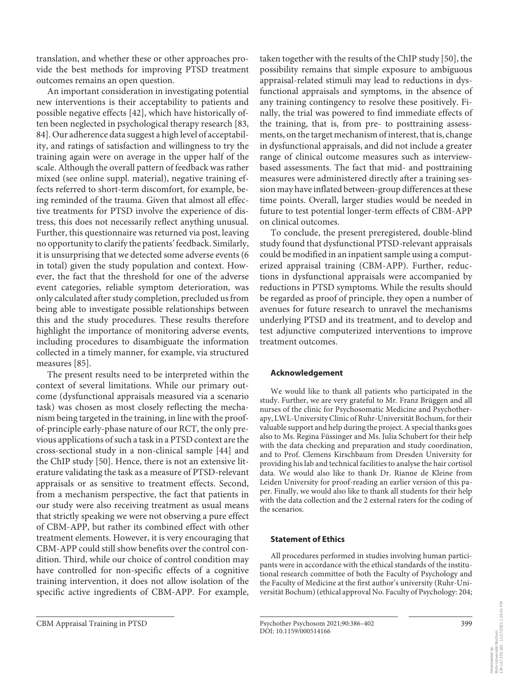translation, and whether these or other approaches provide the best methods for improving PTSD treatment outcomes remains an open question.

An important consideration in investigating potential new interventions is their acceptability to patients and possible negative effects [[4](#page-14-3)[2](#page-14-1)], which have historically often been neglected in psychological therapy research [\[8](#page-14-6)[3,](#page-14-2) [8](#page-14-6)[4](#page-14-3)]. Our adherence data suggest a high level of acceptability, and ratings of satisfaction and willingness to try the training again were on average in the upper half of the scale. Although the overall pattern of feedback was rather mixed (see online suppl. material), negative training effects referred to short-term discomfort, for example, being reminded of the trauma. Given that almost all effective treatments for PTSD involve the experience of distress, this does not necessarily reflect anything unusual. Further, this questionnaire was returned via post, leaving no opportunity to clarify the patients' feedback. Similarly, it is unsurprising that we detected some adverse events (6 in total) given the study population and context. However, the fact that the threshold for one of the adverse event categories, reliable symptom deterioration, was only calculated after study completion, precluded us from being able to investigate possible relationships between this and the study procedures. These results therefore highlight the importance of monitoring adverse events, including procedures to disambiguate the information collected in a timely manner, for example, via structured measures [[8](#page-14-6)[5\]](#page-14-4).

The present results need to be interpreted within the context of several limitations. While our primary outcome (dysfunctional appraisals measured via a scenario task) was chosen as most closely reflecting the mechanism being targeted in the training, in line with the proofof-principle early-phase nature of our RCT, the only previous applications of such a task in a PTSD context are the cross-sectional study in a non-clinical sample [\[44](#page-14-3)] and the ChIP study [[50](#page-14-4)]. Hence, there is not an extensive literature validating the task as a measure of PTSD-relevant appraisals or as sensitive to treatment effects. Second, from a mechanism perspective, the fact that patients in our study were also receiving treatment as usual means that strictly speaking we were not observing a pure effect of CBM-APP, but rather its combined effect with other treatment elements. However, it is very encouraging that CBM-APP could still show benefits over the control condition. Third, while our choice of control condition may have controlled for non-specific effects of a cognitive training intervention, it does not allow isolation of the specific active ingredients of CBM-APP. For example,

taken together with the results of the ChIP study [[5](#page-14-4)0], the possibility remains that simple exposure to ambiguous appraisal-related stimuli may lead to reductions in dysfunctional appraisals and symptoms, in the absence of any training contingency to resolve these positively. Finally, the trial was powered to find immediate effects of the training, that is, from pre- to posttraining assessments, on the target mechanism of interest, that is, change in dysfunctional appraisals, and did not include a greater range of clinical outcome measures such as interviewbased assessments. The fact that mid- and posttraining measures were administered directly after a training session may have inflated between-group differences at these time points. Overall, larger studies would be needed in future to test potential longer-term effects of CBM-APP on clinical outcomes.

To conclude, the present preregistered, double-blind study found that dysfunctional PTSD-relevant appraisals could be modified in an inpatient sample using a computerized appraisal training (CBM-APP). Further, reductions in dysfunctional appraisals were accompanied by reductions in PTSD symptoms. While the results should be regarded as proof of principle, they open a number of avenues for future research to unravel the mechanisms underlying PTSD and its treatment, and to develop and test adjunctive computerized interventions to improve treatment outcomes.

# **Acknowledgement**

We would like to thank all patients who participated in the study. Further, we are very grateful to Mr. Franz Brüggen and all nurses of the clinic for Psychosomatic Medicine and Psychotherapy, LWL-University Clinic of Ruhr-Universität Bochum, for their valuable support and help during the project. A special thanks goes also to Ms. Regina Füssinger and Ms. Julia Schubert for their help with the data checking and preparation and study coordination, and to Prof. Clemens Kirschbaum from Dresden University for providing his lab and technical facilities to analyse the hair cortisol data. We would also like to thank Dr. Rianne de Kleine from Leiden University for proof-reading an earlier version of this paper. Finally, we would also like to thank all students for their help with the data collection and the 2 external raters for the coding of the scenarios.

# **Statement of Ethics**

All procedures performed in studies involving human participants were in accordance with the ethical standards of the institutional research committee of both the Faculty of Psychology and the Faculty of Medicine at the first author's university (Ruhr-Universität Bochum) (ethical approval No. Faculty of Psychology: 204;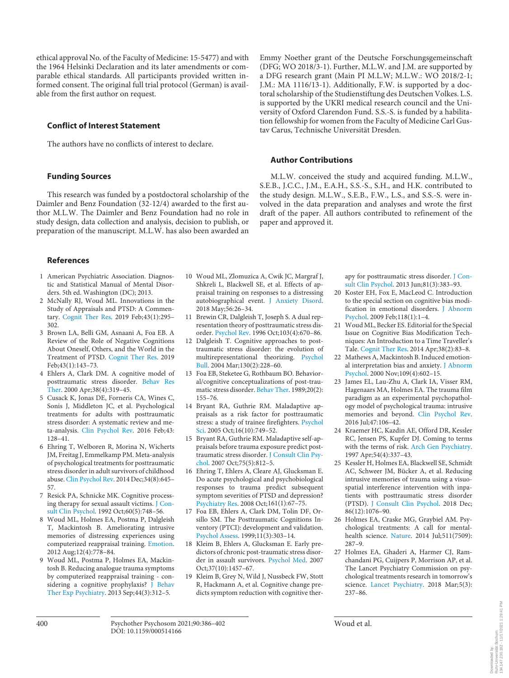ethical approval No. of the Faculty of Medicine: 15-5477) and with the 1964 Helsinki Declaration and its later amendments or comparable ethical standards. All participants provided written informed consent. The original full trial protocol (German) is available from the first author on request.

#### **Conflict of Interest Statement**

The authors have no conflicts of interest to declare.

#### **Funding Sources**

This research was funded by a postdoctoral scholarship of the Daimler and Benz Foundation (32-12/4) awarded to the first author M.L.W. The Daimler and Benz Foundation had no role in study design, data collection and analysis, decision to publish, or preparation of the manuscript. M.L.W. has also been awarded an

Emmy Noether grant of the Deutsche Forschungsgemeinschaft (DFG; WO 2018/3-1). Further, M.L.W. and J.M. are supported by a DFG research grant (Main PI M.L.W; M.L.W.: WO 2018/2-1; J.M.: MA 1116/13-1). Additionally, F.W. is supported by a doctoral scholarship of the Studienstiftung des Deutschen Volkes. L.S. is supported by the UKRI medical research council and the University of Oxford Clarendon Fund. S.S.-S. is funded by a habilitation fellowship for women from the Faculty of Medicine Carl Gustav Carus, Technische Universität Dresden.

#### **Author Contributions**

M.L.W. conceived the study and acquired funding. M.L.W., S.E.B., J.C.C., J.M., E.A.H., S.S.-S., S.H., and H.K. contributed to the study design. M.L.W., S.E.B., F.W., L.S., and S.S.-S. were involved in the data preparation and analyses and wrote the first draft of the paper. All authors contributed to refinement of the paper and approved it.

#### **References**

- <span id="page-14-0"></span>[1](#page-1-0) American Psychiatric Association. Diagnostic and Statistical Manual of Mental Disorders. 5th ed. Washington (DC); 2013.
- <span id="page-14-1"></span>[2](#page-1-1) McNally RJ, Woud ML. Innovations in the Study of Appraisals and PTSD: A Commentary. [Cognit Ther Res.](https://www.karger.com/Article/FullText/514166?ref=2#ref2) 2019 Feb;43(1):295– 302.
- <span id="page-14-2"></span>[3](#page-1-1) Brown LA, Belli GM, Asnaani A, Foa EB. A Review of the Role of Negative Cognitions About Oneself, Others, and the World in the Treatment of PTSD. [Cognit Ther Res](https://www.karger.com/Article/FullText/514166?ref=3#ref3). 2019 Feb;43(1):143–73.
- <span id="page-14-3"></span>[4](#page-3-0) Ehlers A, Clark DM. A cognitive model of posttraumatic stress disorder. [Behav Res](https://www.karger.com/Article/FullText/514166?ref=4#ref4) [Ther](https://www.karger.com/Article/FullText/514166?ref=4#ref4). 2000 Apr;38(4):319–45.
- <span id="page-14-4"></span>[5](#page-1-2) Cusack K, Jonas DE, Forneris CA, Wines C, Sonis J, Middleton JC, et al. Psychological treatments for adults with posttraumatic stress disorder: A systematic review and meta-analysis. [Clin Psychol Rev](https://www.karger.com/Article/FullText/514166?ref=5#ref5). 2016 Feb;43: 128–41.
- <span id="page-14-8"></span>[6](#page-1-2) Ehring T, Welboren R, Morina N, Wicherts JM, Freitag J, Emmelkamp PM. Meta-analysis of psychological treatments for posttraumatic stress disorder in adult survivors of childhood abuse. [Clin Psychol Rev.](https://www.karger.com/Article/FullText/514166?ref=6#ref6) 2014 Dec;34(8):645– 57.
- <span id="page-14-5"></span>[7](#page-1-2) Resick PA, Schnicke MK. Cognitive processing therapy for sexual assault victims. [J Con](https://www.karger.com/Article/FullText/514166?ref=7#ref7)[sult Clin Psychol.](https://www.karger.com/Article/FullText/514166?ref=7#ref7) 1992 Oct;60(5):748–56.
- <span id="page-14-6"></span>[8](#page-1-3) Woud ML, Holmes EA, Postma P, Dalgleish T, Mackintosh B. Ameliorating intrusive memories of distressing experiences using computerized reappraisal training. [Emotion](https://www.karger.com/Article/FullText/514166?ref=8#ref8). 2012 Aug;12(4):778–84.
- <span id="page-14-7"></span>[9](#page-1-3) Woud ML, Postma P, Holmes EA, Mackintosh B. Reducing analogue trauma symptoms by computerized reappraisal training - considering a cognitive prophylaxis? [J Behav](https://www.karger.com/Article/FullText/514166?ref=9#ref9) [Ther Exp Psychiatry.](https://www.karger.com/Article/FullText/514166?ref=9#ref9) 2013 Sep;44(3):312–5.
- [10](#page-1-3) Woud ML, Zlomuzica A, Cwik JC, Margraf J, Shkreli L, Blackwell SE, et al. Effects of appraisal training on responses to a distressing autobiographical event. [J Anxiety Disord.](https://www.karger.com/Article/FullText/514166?ref=10#ref10) 2018 May;56:26–34.
- [11](#page-1-4) Brewin CR, Dalgleish T, Joseph S. A dual representation theory of posttraumatic stress disorder. [Psychol Rev.](https://www.karger.com/Article/FullText/514166?ref=11#ref11) 1996 Oct;103(4):670–86.
- 12 Dalgleish T. Cognitive approaches to posttraumatic stress disorder: the evolution of multirepresentational theorizing. [Psychol](https://www.karger.com/Article/FullText/514166?ref=12#ref12) [Bull](https://www.karger.com/Article/FullText/514166?ref=12#ref12). 2004 Mar;130(2):228–60.
- [13](#page-1-4) Foa EB, Steketee G, Rothbaum BO. Behavioral/cognitive conceptualizations of post-traumatic stress disorder. [Behav Ther.](https://www.karger.com/Article/FullText/514166?ref=13#ref13) 1989;20(2): 155–76.
- [14](#page-1-5) Bryant RA, Guthrie RM. Maladaptive appraisals as a risk factor for posttraumatic stress: a study of trainee firefighters. [Psychol](https://www.karger.com/Article/FullText/514166?ref=14#ref14) [Sci](https://www.karger.com/Article/FullText/514166?ref=14#ref14). 2005 Oct;16(10):749–52.
- [15](#page-1-5) Bryant RA, Guthrie RM. Maladaptive self-appraisals before trauma exposure predict posttraumatic stress disorder. [J Consult Clin Psy](https://www.karger.com/Article/FullText/514166?ref=15#ref15)[chol.](https://www.karger.com/Article/FullText/514166?ref=15#ref15) 2007 Oct;75(5):812–5.
- [16](#page-1-5) Ehring T, Ehlers A, Cleare AJ, Glucksman E. Do acute psychological and psychobiological responses to trauma predict subsequent symptom severities of PTSD and depression? [Psychiatry Res.](https://www.karger.com/Article/FullText/514166?ref=16#ref16) 2008 Oct;161(1):67–75.
- [17](#page-1-5) Foa EB, Ehlers A, Clark DM, Tolin DF, Orsillo SM. The Posttraumatic Cognitions Inventory (PTCI): development and validation. [Psychol Assess](https://www.karger.com/Article/FullText/514166?ref=17#ref17). 1999;11(3):303–14.
- [18](#page-1-5) Kleim B, Ehlers A, Glucksman E. Early predictors of chronic post-traumatic stress disorder in assault survivors. [Psychol Med.](https://www.karger.com/Article/FullText/514166?ref=18#ref18) 2007 Oct;37(10):1457–67.
- [19](#page-1-6) Kleim B, Grey N, Wild J, Nussbeck FW, Stott R, Hackmann A, et al. Cognitive change predicts symptom reduction with cognitive ther-

apy for posttraumatic stress disorder. [J Con](https://www.karger.com/Article/FullText/514166?ref=19#ref19)[sult Clin Psychol.](https://www.karger.com/Article/FullText/514166?ref=19#ref19) 2013 Jun;81(3):383–93.

- [20](#page-1-7) Koster EH, Fox E, MacLeod C. Introduction to the special section on cognitive bias modification in emotional disorders. [J Abnorm](https://www.karger.com/Article/FullText/514166?ref=20#ref20)  [Psychol.](https://www.karger.com/Article/FullText/514166?ref=20#ref20) 2009 Feb;118(1):1–4.
- [21](#page-1-7) Woud ML, Becker ES. Editorial for the Special Issue on Cognitive Bias Modification Techniques: An Introduction to a Time Traveller's Tale. [Cognit Ther Res](https://www.karger.com/Article/FullText/514166?ref=21#ref21). 2014 Apr;38(2):83–8.
- [22](#page-1-8) Mathews A, Mackintosh B. Induced emotional interpretation bias and anxiety. [J Abnorm](https://www.karger.com/Article/FullText/514166?ref=22#ref22)  [Psychol.](https://www.karger.com/Article/FullText/514166?ref=22#ref22) 2000 Nov;109(4):602–15.
- [23](#page-1-9) James EL, Lau-Zhu A, Clark IA, Visser RM, Hagenaars MA, Holmes EA. The trauma film paradigm as an experimental psychopathology model of psychological trauma: intrusive memories and beyond. [Clin Psychol Rev.](https://www.karger.com/Article/FullText/514166?ref=23#ref23) 2016 Jul;47:106–42.
- [24](#page-1-10) Kraemer HC, Kazdin AE, Offord DR, Kessler RC, Jensen PS, Kupfer DJ. Coming to terms with the terms of risk. [Arch Gen Psychiatry.](https://www.karger.com/Article/FullText/514166?ref=24#ref24) 1997 Apr;54(4):337–43.
- [25](#page-1-11) Kessler H, Holmes EA, Blackwell SE, Schmidt AC, Schweer JM, Bücker A, et al. Reducing intrusive memories of trauma using a visuospatial interference intervention with inpatients with posttraumatic stress disorder (PTSD). [J Consult Clin Psychol](https://www.karger.com/Article/FullText/514166?ref=25#ref25). 2018 Dec; 86(12):1076–90.
- [26](#page-1-12) Holmes EA, Craske MG, Graybiel AM. Psychological treatments: A call for mentalhealth science. [Nature.](https://www.karger.com/Article/FullText/514166?ref=26#ref26) 2014 Jul;511(7509): 287–9.
- [27](#page-1-12) Holmes EA, Ghaderi A, Harmer CJ, Ramchandani PG, Cuijpers P, Morrison AP, et al. The Lancet Psychiatry Commission on psychological treatments research in tomorrow's science. [Lancet Psychiatry.](https://www.karger.com/Article/FullText/514166?ref=27#ref27) 2018 Mar;5(3): 237–86.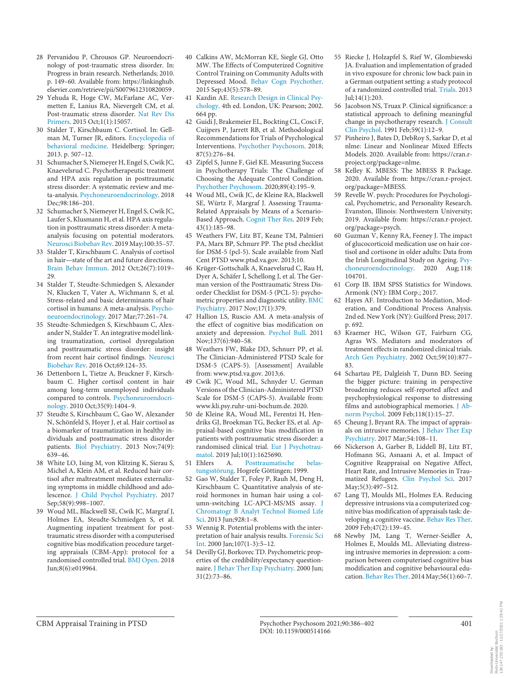- [28](#page-1-13) Pervanidou P, Chrousos GP. Neuroendocrinology of post-traumatic stress disorder. In: Progress in brain research. Netherlands; 2010. p. 149–60. Available from: https://linkinghub. elsevier.com/retrieve/pii/S0079612310820059 .
- [29](#page-1-13) Yehuda R, Hoge CW, McFarlane AC, Vermetten E, Lanius RA, Nievergelt CM, et al. Post-traumatic stress disorder. [Nat Rev Dis](https://www.karger.com/Article/FullText/514166?ref=29#ref29) [Primers.](https://www.karger.com/Article/FullText/514166?ref=29#ref29) 2015 Oct;1(1):15057.
- [30](#page-1-14) Stalder T, Kirschbaum C. Cortisol. In: Gellman M, Turner JR, editors. [Encyclopedia of](https://www.karger.com/Article/FullText/514166?ref=30#ref30) [behavioral medicine.](https://www.karger.com/Article/FullText/514166?ref=30#ref30) Heidelberg: Springer; 2013. p. 507–12.
- [31](#page-1-14) Schumacher S, Niemeyer H, Engel S, Cwik JC, Knaevelsrud C. Psychotherapeutic treatment and HPA axis regulation in posttraumatic stress disorder: A systematic review and meta-analysis. [Psychoneuroendocrinology.](https://www.karger.com/Article/FullText/514166?ref=31#ref31) 2018 Dec;98:186–201.
- [32](#page-1-14) Schumacher S, Niemeyer H, Engel S, Cwik JC, Laufer S, Klusmann H, et al. HPA axis regulation in posttraumatic stress disorder: A metaanalysis focusing on potential moderators. [Neurosci Biobehav Rev](https://www.karger.com/Article/FullText/514166?ref=32#ref32). 2019 May;100:35–57.
- [33](#page-1-15) Stalder T, Kirschbaum C. Analysis of cortisol in hair—state of the art and future directions. [Brain Behav Immun](https://www.karger.com/Article/FullText/514166?ref=33#ref33). 2012 Oct;26(7):1019– 29.
- [34](#page-1-16) Stalder T, Steudte-Schmiedgen S, Alexander N, Klucken T, Vater A, Wichmann S, et al. Stress-related and basic determinants of hair cortisol in humans: A meta-analysis. [Psycho](https://www.karger.com/Article/FullText/514166?ref=34#ref34)[neuroendocrinology.](https://www.karger.com/Article/FullText/514166?ref=34#ref34) 2017 Mar;77:261–74.
- [35](#page-1-15) Steudte-Schmiedgen S, Kirschbaum C, Alexander N, Stalder T. An integrative model linking traumatization, cortisol dysregulation and posttraumatic stress disorder: insight from recent hair cortisol findings. [Neurosci](https://www.karger.com/Article/FullText/514166?ref=35#ref35) [Biobehav Rev](https://www.karger.com/Article/FullText/514166?ref=35#ref35). 2016 Oct;69:124–35.
- [36](#page-1-17) Dettenborn L, Tietze A, Bruckner F, Kirschbaum C. Higher cortisol content in hair among long-term unemployed individuals compared to controls. [Psychoneuroendocri](https://www.karger.com/Article/FullText/514166?ref=36#ref36)[nology.](https://www.karger.com/Article/FullText/514166?ref=36#ref36) 2010 Oct;35(9):1404–9.
- [37](#page-1-18) Steudte S, Kirschbaum C, Gao W, Alexander N, Schönfeld S, Hoyer J, et al. Hair cortisol as a biomarker of traumatization in healthy individuals and posttraumatic stress disorder patients. [Biol Psychiatry.](https://www.karger.com/Article/FullText/514166?ref=37#ref37) 2013 Nov;74(9): 639–46.
- [38](#page-1-19) White LO, Ising M, von Klitzing K, Sierau S, Michel A, Klein AM, et al. Reduced hair cortisol after maltreatment mediates externalizing symptoms in middle childhood and adolescence. [J Child Psychol Psychiatry](https://www.karger.com/Article/FullText/514166?ref=38#ref38). 2017 Sep;58(9):998–1007.
- [39](#page-2-0) Woud ML, Blackwell SE, Cwik JC, Margraf J, Holmes EA, Steudte-Schmiedgen S, et al. Augmenting inpatient treatment for posttraumatic stress disorder with a computerised cognitive bias modification procedure targeting appraisals (CBM-App): protocol for a randomised controlled trial. [BMJ Open.](https://www.karger.com/Article/FullText/514166?ref=39#ref39) 2018 Jun;8(6):e019964.
- [40](#page-2-1) Calkins AW, McMorran KE, Siegle GJ, Otto MW. The Effects of Computerized Cognitive Control Training on Community Adults with Depressed Mood. [Behav Cogn Psychother.](https://www.karger.com/Article/FullText/514166?ref=40#ref40) 2015 Sep;43(5):578–89.
- Kazdin AE. [Research Design in Clinical Psy](https://www.karger.com/Article/FullText/514166?ref=41#ref41)[chology.](https://www.karger.com/Article/FullText/514166?ref=41#ref41) 4th ed. London, UK: Pearson; 2002. 664 pp.
- [42](#page-2-2) Guidi J, Brakemeier EL, Bockting CL, Cosci F, Cuijpers P, Jarrett RB, et al. Methodological Recommendations for Trials of Psychological Interventions. [Psychother Psychosom](https://www.karger.com/Article/FullText/514166?ref=42#ref42). 2018; 87(5):276–84.
- [43](#page-2-3) Zipfel S, Junne F, Giel KE. Measuring Success in Psychotherapy Trials: The Challenge of Choosing the Adequate Control Condition. [Psychother Psychosom](https://www.karger.com/Article/FullText/514166?ref=43#ref43). 2020;89(4):195–9.
- [44](#page-3-0) Woud ML, Cwik JC, de Kleine RA, Blackwell SE, Würtz F, Margraf J. Assessing Trauma-Related Appraisals by Means of a Scenario-Based Approach. [Cognit Ther Res.](https://www.karger.com/Article/FullText/514166?ref=44#ref44) 2019 Feb; 43(1):185–98.
- [45](#page-2-4) Weathers FW, Litz BT, Keane TM, Palmieri PA, Marx BP, Schnurr PP. The ptsd checklist for DSM-5 (pcl-5). Scale available from Natl Cent PTSD www.ptsd.va.gov. 2013;10.
- [46](#page-2-4) Krüger-Gottschalk A, Knaevelsrud C, Rau H, Dyer A, Schäfer I, Schellong J, et al. The German version of the Posttraumatic Stress Disorder Checklist for DSM-5 (PCL-5): psychometric properties and diagnostic utility. [BMC](https://www.karger.com/Article/FullText/514166?ref=46#ref46) [Psychiatry](https://www.karger.com/Article/FullText/514166?ref=46#ref46). 2017 Nov;17(1):379.
- [47](#page-2-5) Hallion LS, Ruscio AM. A meta-analysis of the effect of cognitive bias modification on anxiety and depression. [Psychol Bull](https://www.karger.com/Article/FullText/514166?ref=47#ref47). 2011 Nov;137(6):940-58.
- [48](#page-2-6) Weathers FW, Blake DD, Schnurr PP, et al. The Clinician-Administered PTSD Scale for DSM-5 (CAPS-5). [Assessment] Available from: www.ptsd.va.gov. 2013;6.
- [49](#page-2-6) Cwik JC, Woud ML, Schnyder U. German Versions of the Clinician-Administered PTSD Scale for DSM-5 (CAPS-5). Available from: www.kli.psy.ruhr-uni-bochum.de. 2020.
- [50](#page-3-1) de Kleine RA, Woud ML, Ferentzi H, Hendriks GJ, Broekman TG, Becker ES, et al. Appraisal-based cognitive bias modification in patients with posttraumatic stress disorder: a randomised clinical trial. [Eur J Psychotrau-](https://www.karger.com/Article/FullText/514166?ref=50#ref50)
- [matol.](https://www.karger.com/Article/FullText/514166?ref=50#ref50) 2019 Jul;10(1):1625690.<br>Ehlers A. Posttraumatis [51](#page-3-2) Ehlers A. [Posttraumatische belas](https://www.karger.com/Article/FullText/514166?ref=51#ref51)[tungsstörung](https://www.karger.com/Article/FullText/514166?ref=51#ref51). Hogrefe Göttingen; 1999.
- [52](#page-4-0) Gao W, Stalder T, Foley P, Rauh M, Deng H, Kirschbaum C. Quantitative analysis of steroid hormones in human hair using a column-switching LC-APCI-MS/MS assay. [J](https://www.karger.com/Article/FullText/514166?ref=52#ref52) [Chromatogr B Analyt Technol Biomed Life](https://www.karger.com/Article/FullText/514166?ref=52#ref52) [Sci](https://www.karger.com/Article/FullText/514166?ref=52#ref52). 2013 Jun;928:1–8.
- [53](#page-4-1) Wennig R. Potential problems with the interpretation of hair analysis results. [Forensic Sci](https://www.karger.com/Article/FullText/514166?ref=53#ref53) [Int](https://www.karger.com/Article/FullText/514166?ref=53#ref53). 2000 Jan;107(1-3):5–12.
- [54](#page-4-2) Devilly GJ, Borkovec TD. Psychometric properties of the credibility/expectancy questionnaire. [J Behav Ther Exp Psychiatry.](https://www.karger.com/Article/FullText/514166?ref=54#ref54) 2000 Jun; 31(2):73–86.
- [55](#page-4-2) Riecke J, Holzapfel S, Rief W, Glombiewski JA. Evaluation and implementation of graded in vivo exposure for chronic low back pain in a German outpatient setting: a study protocol of a randomized controlled trial. [Trials.](https://www.karger.com/Article/FullText/514166?ref=55#ref55) 2013 Jul;14(1):203.
- [56](#page-4-3) Jacobson NS, Truax P. Clinical significance: a statistical approach to defining meaningful change in psychotherapy research. [J Consult](https://www.karger.com/Article/FullText/514166?ref=56#ref56)  [Clin Psychol.](https://www.karger.com/Article/FullText/514166?ref=56#ref56) 1991 Feb;59(1):12–9.
- [57](#page-4-4) Pinheiro J, Bates D, DebRoy S, Sarkar D, et al nlme: Linear and Nonlinear Mixed Effects Models. 2020. Available from: https://cran.rproject.org/package=nlme.
- [58](#page-4-5) Kelley K. MBESS: The MBESS R Package. 2020. Available from: https://cran.r-project. org/package=MBESS.
- [59](#page-4-6) Revelle W. psych: Procedures for Psychological, Psychometric, and Personality Research. Evanston, Illinois: Northwestern University; 2019. Available from: https://cran.r-project. org/package=psych.
- [60](#page-4-7) Guzman V, Kenny RA, Feeney J. The impact of glucocorticoid medication use on hair cortisol and cortisone in older adults: Data from the Irish Longitudinal Study on Ageing. [Psy](https://www.karger.com/Article/FullText/514166?ref=60#ref60)[choneuroendocrinology.](https://www.karger.com/Article/FullText/514166?ref=60#ref60) 2020 Aug; 118: 104701.
- [61](#page-7-0) Corp IB. IBM SPSS Statistics for Windows. Armonk (NY): IBM Corp.; 2017.
- [62](#page-7-1) Hayes AF. Introduction to Mediation, Moderation, and Conditional Process Analysis. 2nd ed. New York (NY): Guilford Press; 2017. p. 692.
- [63](#page-11-0) Kraemer HC, Wilson GT, Fairburn CG, Agras WS. Mediators and moderators of treatment effects in randomized clinical trials. [Arch Gen Psychiatry.](https://www.karger.com/Article/FullText/514166?ref=63#ref63) 2002 Oct;59(10):877– 83.
- [64](#page-11-1) Schartau PE, Dalgleish T, Dunn BD. Seeing the bigger picture: training in perspective broadening reduces self-reported affect and psychophysiological response to distressing films and autobiographical memories. [J Ab](https://www.karger.com/Article/FullText/514166?ref=64#ref64)[norm Psychol.](https://www.karger.com/Article/FullText/514166?ref=64#ref64) 2009 Feb;118(1):15–27.
- 65 Cheung J, Bryant RA. The impact of appraisals on intrusive memories. [J Behav Ther Exp](https://www.karger.com/Article/FullText/514166?ref=65#ref65)  [Psychiatry](https://www.karger.com/Article/FullText/514166?ref=65#ref65). 2017 Mar;54:108–11.
- [66](#page-11-1) Nickerson A, Garber B, Liddell BJ, Litz BT, Hofmann SG, Asnaani A, et al. Impact of Cognitive Reappraisal on Negative Affect, Heart Rate, and Intrusive Memories in Traumatized Refugees. [Clin Psychol Sci](https://www.karger.com/Article/FullText/514166?ref=66#ref66). 2017 May;5(3):497–512.
- [67](#page-11-2) Lang TJ, Moulds ML, Holmes EA. Reducing depressive intrusions via a computerized cognitive bias modification of appraisals task: developing a cognitive vaccine. [Behav Res Ther.](https://www.karger.com/Article/FullText/514166?ref=67#ref67) 2009 Feb;47(2):139–45.
- [68](#page-11-2) Newby JM, Lang T, Werner-Seidler A, Holmes E, Moulds ML. Alleviating distressing intrusive memories in depression: a comparison between computerised cognitive bias modification and cognitive behavioural education. [Behav Res Ther](https://www.karger.com/Article/FullText/514166?ref=68#ref68). 2014 May;56(1):60–7.